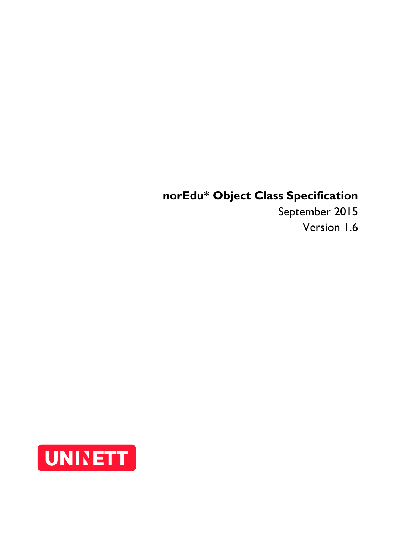# **norEdu\* Object Class Specification**

September 2015 Version 1.6

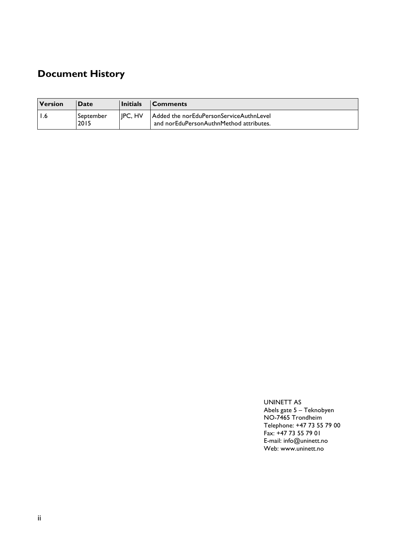# **Document History**

| <b>Version</b> | <b>Date</b>       | <b>Initials</b> | <b>Comments</b>                                                                    |
|----------------|-------------------|-----------------|------------------------------------------------------------------------------------|
|                | September<br>2015 | IPC. HV         | Added the norEduPersonServiceAuthnLevel<br>and norEduPersonAuthnMethod attributes. |

UNINETT AS Abels gate 5 – Teknobyen NO-7465 Trondheim Telephone: +47 73 55 79 00 Fax: +47 73 55 79 01 E-mail: info@uninett.no Web: www.uninett.no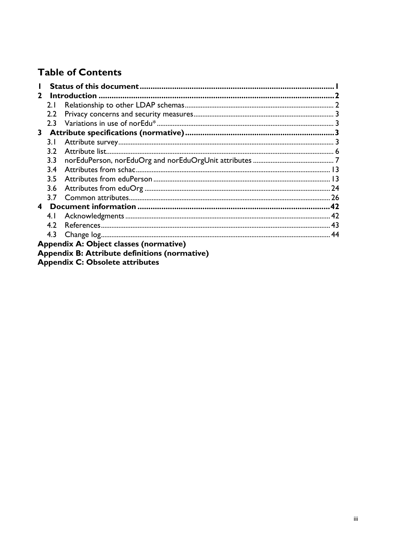# **Table of Contents**

| $\mathbf{2}$ |      |                                                      |  |
|--------------|------|------------------------------------------------------|--|
|              | 2.1  |                                                      |  |
|              | 2.2  |                                                      |  |
|              | 2.3  |                                                      |  |
| 3            |      |                                                      |  |
|              | 3. I |                                                      |  |
|              | 3.2  |                                                      |  |
|              | 3.3  |                                                      |  |
|              | 3.4  |                                                      |  |
|              | 3.5  |                                                      |  |
|              | 3.6  |                                                      |  |
|              | 3.7  |                                                      |  |
| 4            |      |                                                      |  |
|              | 4.1  |                                                      |  |
|              | 4.2  |                                                      |  |
|              | 4.3  |                                                      |  |
|              |      | Appendix A: Object classes (normative)               |  |
|              |      | <b>Appendix B: Attribute definitions (normative)</b> |  |

Appendix C: Obsolete attributes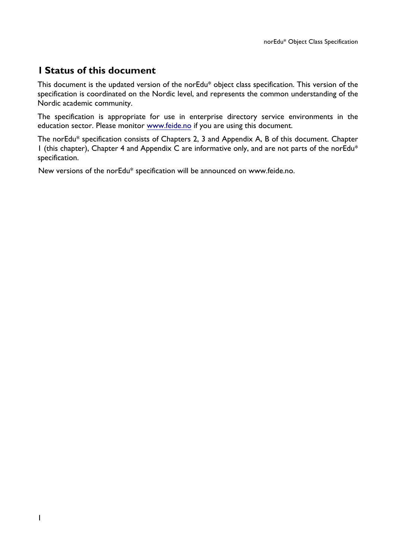# **1 Status of this document**

This document is the updated version of the norEdu\* object class specification. This version of the specification is coordinated on the Nordic level, and represents the common understanding of the Nordic academic community.

The specification is appropriate for use in enterprise directory service environments in the education sector. Please monitor www.feide.no if you are using this document.

The norEdu\* specification consists of Chapters 2, 3 and Appendix A, B of this document. Chapter 1 (this chapter), Chapter 4 and Appendix C are informative only, and are not parts of the norEdu\* specification.

New versions of the norEdu\* specification will be announced on www.feide.no.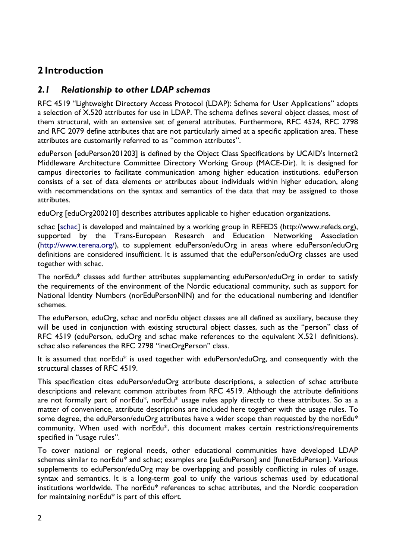# **2 Introduction**

# *2.1 Relationship to other LDAP schemas*

RFC 4519 "Lightweight Directory Access Protocol (LDAP): Schema for User Applications" adopts a selection of X.520 attributes for use in LDAP. The schema defines several object classes, most of them structural, with an extensive set of general attributes. Furthermore, RFC 4524, RFC 2798 and RFC 2079 define attributes that are not particularly aimed at a specific application area. These attributes are customarily referred to as "common attributes".

eduPerson [eduPerson201203] is defined by the Object Class Specifications by UCAID's Internet2 Middleware Architecture Committee Directory Working Group (MACE-Dir). It is designed for campus directories to facilitate communication among higher education institutions. eduPerson consists of a set of data elements or attributes about individuals within higher education, along with recommendations on the syntax and semantics of the data that may be assigned to those attributes.

eduOrg [eduOrg200210] describes attributes applicable to higher education organizations.

schac [schac] is developed and maintained by a working group in REFEDS (http://www.refeds.org), supported by the Trans-European Research and Education Networking Association (http://www.terena.org/), to supplement eduPerson/eduOrg in areas where eduPerson/eduOrg definitions are considered insufficient. It is assumed that the eduPerson/eduOrg classes are used together with schac.

The norEdu\* classes add further attributes supplementing eduPerson/eduOrg in order to satisfy the requirements of the environment of the Nordic educational community, such as support for National Identity Numbers (norEduPersonNIN) and for the educational numbering and identifier schemes.

The eduPerson, eduOrg, schac and norEdu object classes are all defined as auxiliary, because they will be used in conjunction with existing structural object classes, such as the "person" class of RFC 4519 (eduPerson, eduOrg and schac make references to the equivalent X.521 definitions). schac also references the RFC 2798 "inetOrgPerson" class.

It is assumed that norEdu\* is used together with eduPerson/eduOrg, and consequently with the structural classes of RFC 4519.

This specification cites eduPerson/eduOrg attribute descriptions, a selection of schac attribute descriptions and relevant common attributes from RFC 4519. Although the attribute definitions are not formally part of norEdu\*, norEdu\* usage rules apply directly to these attributes. So as a matter of convenience, attribute descriptions are included here together with the usage rules. To some degree, the eduPerson/eduOrg attributes have a wider scope than requested by the norEdu\* community. When used with norEdu\*, this document makes certain restrictions/requirements specified in "usage rules".

To cover national or regional needs, other educational communities have developed LDAP schemes similar to norEdu\* and schac; examples are [auEduPerson] and [funetEduPerson]. Various supplements to eduPerson/eduOrg may be overlapping and possibly conflicting in rules of usage, syntax and semantics. It is a long-term goal to unify the various schemas used by educational institutions worldwide. The norEdu\* references to schac attributes, and the Nordic cooperation for maintaining norEdu\* is part of this effort.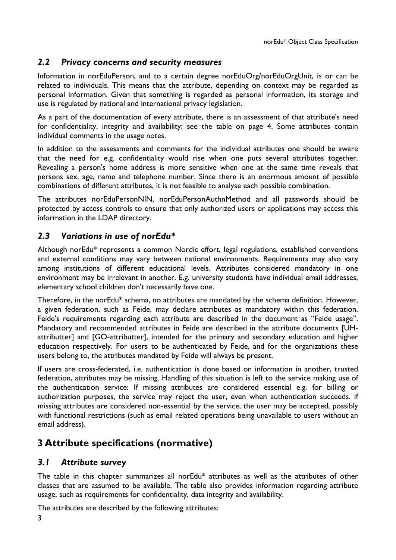# *2.2 Privacy concerns and security measures*

Information in norEduPerson, and to a certain degree norEduOrg/norEduOrgUnit, is or can be related to individuals. This means that the attribute, depending on context may be regarded as personal information. Given that something is regarded as personal information, its storage and use is regulated by national and international privacy legislation.

As a part of the documentation of every attribute, there is an assessment of that attribute's need for confidentiality, integrity and availability; see the table on page 4. Some attributes contain individual comments in the usage notes.

In addition to the assessments and comments for the individual attributes one should be aware that the need for e.g. confidentiality would rise when one puts several attributes together. Revealing a person's home address is more sensitive when one at the same time reveals that persons sex, age, name and telephone number. Since there is an enormous amount of possible combinations of different attributes, it is not feasible to analyse each possible combination.

The attributes norEduPersonNIN, norEduPersonAuthnMethod and all passwords should be protected by access controls to ensure that only authorized users or applications may access this information in the LDAP directory.

# *2.3 Variations in use of norEdu\**

Although norEdu\* represents a common Nordic effort, legal regulations, established conventions and external conditions may vary between national environments. Requirements may also vary among institutions of different educational levels. Attributes considered mandatory in one environment may be irrelevant in another. E.g. university students have individual email addresses, elementary school children don't necessarily have one.

Therefore, in the norEdu\* schema, no attributes are mandated by the schema definition. However, a given federation, such as Feide, may declare attributes as mandatory within this federation. Feide's requirements regarding each attribute are described in the document as "Feide usage". Mandatory and recommended attributes in Feide are described in the attribute documents [UHattributter] and [GO-attributter], intended for the primary and secondary education and higher education respectively. For users to be authenticated by Feide, and for the organizations these users belong to, the attributes mandated by Feide will always be present.

If users are cross-federated, i.e. authentication is done based on information in another, trusted federation, attributes may be missing. Handling of this situation is left to the service making use of the authentication service: If missing attributes are considered essential e.g. for billing or authorization purposes, the service may reject the user, even when authentication succeeds. If missing attributes are considered non-essential by the service, the user may be accepted, possibly with functional restrictions (such as email related operations being unavailable to users without an email address).

# **3 Attribute specifications (normative)**

# *3.1 Attribute survey*

The table in this chapter summarizes all norEdu\* attributes as well as the attributes of other classes that are assumed to be available. The table also provides information regarding attribute usage, such as requirements for confidentiality, data integrity and availability.

The attributes are described by the following attributes: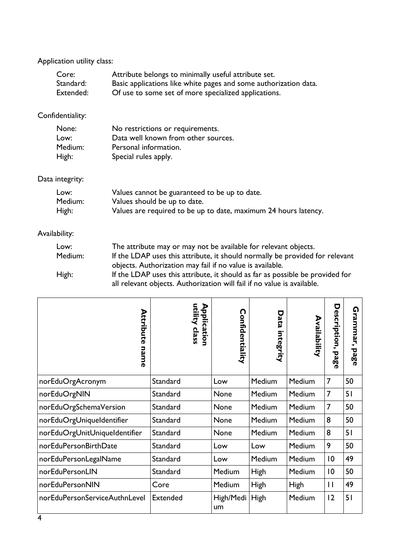Application utility class:

| Core:     | Attribute belongs to minimally useful attribute set.             |
|-----------|------------------------------------------------------------------|
| Standard: | Basic applications like white pages and some authorization data. |
| Extended: | Of use to some set of more specialized applications.             |

# Confidentiality:

| None:   | No restrictions or requirements.    |
|---------|-------------------------------------|
| Low:    | Data well known from other sources. |
| Medium: | Personal information.               |
| High:   | Special rules apply.                |

# Data integrity:

| Low:    | Values cannot be guaranteed to be up to date.                   |
|---------|-----------------------------------------------------------------|
| Medium: | Values should be up to date.                                    |
| High:   | Values are required to be up to date, maximum 24 hours latency. |

# Availability:

| Low:    | The attribute may or may not be available for relevant objects.               |
|---------|-------------------------------------------------------------------------------|
| Medium: | If the LDAP uses this attribute, it should normally be provided for relevant  |
|         | objects. Authorization may fail if no value is available.                     |
| High:   | If the LDAP uses this attribute, it should as far as possible be provided for |
|         | all relevant objects. Authorization will fail if no value is available.       |

| Attribute<br>name             | utility class<br>Application | n<br>onfidentiality | Data<br>integrity | Availability  | Des<br>n<br>ription,<br>page | <b>Grammar,</b><br>page |
|-------------------------------|------------------------------|---------------------|-------------------|---------------|------------------------------|-------------------------|
| norEduOrgAcronym              | Standard                     | Low                 | Medium            | Medium        | 7                            | 50                      |
| norEduOrgNIN                  | Standard                     | None                | Medium            | <b>Medium</b> | 7                            | 51                      |
| norEduOrgSchemaVersion        | Standard                     | None                | Medium            | <b>Medium</b> | 7                            | 50                      |
| norEduOrgUniqueIdentifier     | Standard                     | None                | <b>Medium</b>     | Medium        | 8                            | 50                      |
| norEduOrgUnitUniqueIdentifier | Standard                     | None                | Medium            | Medium        | 8                            | 51                      |
| norEduPersonBirthDate         | Standard                     | Low                 | Low               | Medium        | 9                            | 50                      |
| norEduPersonLegalName         | Standard                     | Low                 | Medium            | Medium        | 10                           | 49                      |
| norEduPersonLIN               | Standard                     | Medium              | <b>High</b>       | Medium        | 10                           | 50                      |
| norEduPersonNIN               | Core                         | Medium              | <b>High</b>       | High          | $\mathbf{I}$                 | 49                      |
| norEduPersonServiceAuthnLevel | <b>Extended</b>              | High/Medi<br>um     | High              | Medium        | 12                           | 51                      |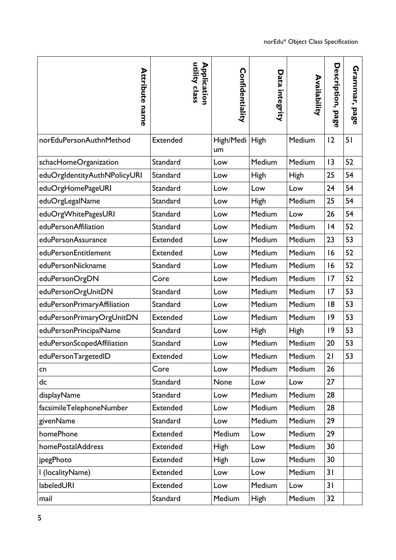| <b>Attribute name</b>        | utility class<br>Application | Confidentiality      | Data integrity | Availability | Description, page | Grammar,<br>pag<br>൹ |
|------------------------------|------------------------------|----------------------|----------------|--------------|-------------------|----------------------|
| norEduPersonAuthnMethod      | <b>Extended</b>              | High/Medi High<br>um |                | Medium       | 12                | 51                   |
| schacHomeOrganization        | Standard                     | Low                  | Medium         | Medium       | 13                | 52                   |
| eduOrgIdentityAuthNPolicyURI | Standard                     | Low                  | <b>High</b>    | High         | 25                | 54                   |
| eduOrgHomePageURI            | Standard                     | Low                  | Low            | Low          | 24                | 54                   |
| eduOrgLegalName              | Standard                     | Low                  | High           | Medium       | 25                | 54                   |
| eduOrgWhitePagesURI          | Standard                     | Low                  | Medium         | Low          | 26                | 54                   |
| eduPersonAffiliation         | Standard                     | Low                  | Medium         | Medium       | 4                 | 52                   |
| eduPersonAssurance           | Extended                     | Low                  | Medium         | Medium       | 23                | 53                   |
| eduPersonEntitlement         | Extended                     | Low                  | Medium         | Medium       | 16                | 52                   |
| eduPersonNickname            | Standard                     | Low                  | Medium         | Medium       | 16                | 52                   |
| eduPersonOrgDN               | Core                         | Low                  | Medium         | Medium       | 17                | 52                   |
| eduPersonOrgUnitDN           | Standard                     | Low                  | Medium         | Medium       | 17                | 53                   |
| eduPersonPrimaryAffiliation  | Standard                     | Low                  | Medium         | Medium       | 8                 | 53                   |
| eduPersonPrimaryOrgUnitDN    | <b>Extended</b>              | Low                  | Medium         | Medium       | 9                 | 53                   |
| eduPersonPrincipalName       | Standard                     | Low                  | <b>High</b>    | High         | 9                 | 53                   |
| eduPersonScopedAffiliation   | Standard                     | Low                  | Medium         | Medium       | 20                | 53                   |
| eduPersonTargetedID          | <b>Extended</b>              | Low                  | Medium         | Medium       | 21                | 53                   |
| cn                           | Core                         | Low                  | Medium         | Medium       | 26                |                      |
| dc                           | Standard                     | None                 | Low            | Low          | 27                |                      |
| displayName                  | Standard                     | Low                  | Medium         | Medium       | 28                |                      |
| facsimileTelephoneNumber     | Extended                     | Low                  | Medium         | Medium       | 28                |                      |
| givenName                    | Standard                     | Low                  | Medium         | Medium       | 29                |                      |
| homePhone                    | Extended                     | Medium               | Low            | Medium       | 29                |                      |
| homePostalAddress            | Extended                     | <b>High</b>          | Low            | Medium       | 30                |                      |
| jpegPhoto                    | Extended                     | <b>High</b>          | Low            | Medium       | 30                |                      |
| I (localityName)             | Extended                     | Low                  | Low            | Medium       | 31                |                      |
| labeledURI                   | Extended                     | Low                  | Medium         | Low          | 31                |                      |
| mail                         | Standard                     | Medium               | <b>High</b>    | Medium       | 32                |                      |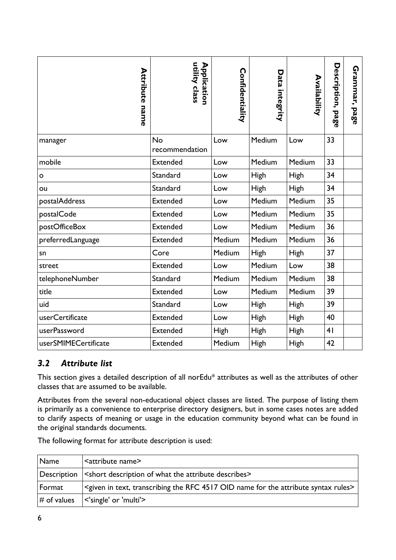| <b>Attribute name</b> | utility class<br>Application | Confidentiality | Data integrity | Availability | Description,<br>page | Grammar,<br>page |
|-----------------------|------------------------------|-----------------|----------------|--------------|----------------------|------------------|
| manager               | <b>No</b><br>recommendation  | Low             | Medium         | Low          | 33                   |                  |
| mobile                | <b>Extended</b>              | Low             | Medium         | Medium       | 33                   |                  |
| o                     | Standard                     | Low             | High           | <b>High</b>  | 34                   |                  |
| ou                    | Standard                     | Low             | <b>High</b>    | <b>High</b>  | 34                   |                  |
| postalAddress         | <b>Extended</b>              | Low             | Medium         | Medium       | 35                   |                  |
| postalCode            | <b>Extended</b>              | Low             | Medium         | Medium       | 35                   |                  |
| postOfficeBox         | <b>Extended</b>              | Low             | Medium         | Medium       | 36                   |                  |
| preferredLanguage     | <b>Extended</b>              | Medium          | Medium         | Medium       | 36                   |                  |
| sn                    | Core                         | Medium          | <b>High</b>    | High         | 37                   |                  |
| street                | <b>Extended</b>              | Low             | Medium         | Low          | 38                   |                  |
| telephoneNumber       | Standard                     | Medium          | Medium         | Medium       | 38                   |                  |
| title                 | <b>Extended</b>              | Low             | Medium         | Medium       | 39                   |                  |
| uid                   | Standard                     | Low             | <b>High</b>    | <b>High</b>  | 39                   |                  |
| userCertificate       | <b>Extended</b>              | Low             | High           | High         | 40                   |                  |
| userPassword          | <b>Extended</b>              | <b>High</b>     | High           | High         | 4 <sub>1</sub>       |                  |
| userSMIMECertificate  | <b>Extended</b>              | Medium          | <b>High</b>    | <b>High</b>  | 42                   |                  |

# *3.2 Attribute list*

This section gives a detailed description of all norEdu\* attributes as well as the attributes of other classes that are assumed to be available.

Attributes from the several non-educational object classes are listed. The purpose of listing them is primarily as a convenience to enterprise directory designers, but in some cases notes are added to clarify aspects of meaning or usage in the education community beyond what can be found in the original standards documents.

The following format for attribute description is used:

| Name           | <attribute name=""></attribute>                                                                                            |
|----------------|----------------------------------------------------------------------------------------------------------------------------|
|                | Description   < short description of what the attribute describes>                                                         |
| $\sf {Format}$ | <given 4517="" attribute="" for="" in="" name="" oid="" rfc="" rules="" syntax="" text,="" the="" transcribing=""></given> |
| $\#$ of values | $\le$ 'single' or 'multi'>                                                                                                 |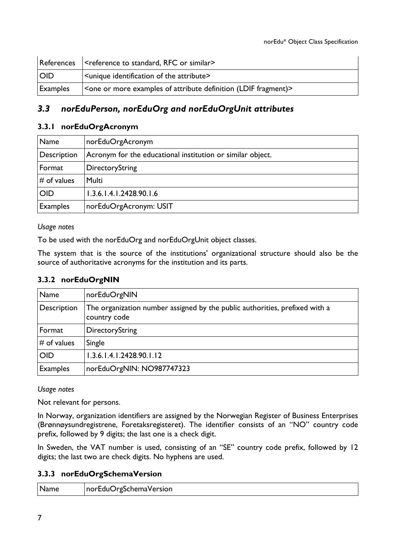| References | <reference or="" rfc="" similar="" standard,="" to=""></reference> |
|------------|--------------------------------------------------------------------|
| <b>OID</b> | <unique attribute="" identification="" of="" the=""></unique>      |
| Examples   | Sone or more examples of attribute definition (LDIF fragment) $>$  |

# *3.3 norEduPerson, norEduOrg and norEduOrgUnit attributes*

### **3.3.1 norEduOrgAcronym**

| Name            | norEduOrgAcronym                                           |
|-----------------|------------------------------------------------------------|
| Description     | Acronym for the educational institution or similar object. |
| Format          | DirectoryString                                            |
| $\#$ of values  | Multi                                                      |
| <b>OID</b>      | 1.3.6.1.4.1.2428.90.1.6                                    |
| <b>Examples</b> | norEduOrgAcronym: USIT                                     |

#### *Usage notes*

To be used with the norEduOrg and norEduOrgUnit object classes.

The system that is the source of the institutions' organizational structure should also be the source of authoritative acronyms for the institution and its parts.

## **3.3.2 norEduOrgNIN**

| Name            | norEduOrgNIN                                                                                |
|-----------------|---------------------------------------------------------------------------------------------|
| Description     | The organization number assigned by the public authorities, prefixed with a<br>country code |
| Format          | DirectoryString                                                                             |
| $#$ of values   | Single                                                                                      |
| <b>OID</b>      | 1.3.6.1.4.1.2428.90.1.12                                                                    |
| <b>Examples</b> | norEduOrgNIN: NO987747323                                                                   |

*Usage notes*

Not relevant for persons.

In Norway, organization identifiers are assigned by the Norwegian Register of Business Enterprises (Brønnøysundregistrene, Foretaksregisteret). The identifier consists of an "NO" country code prefix, followed by 9 digits; the last one is a check digit.

In Sweden, the VAT number is used, consisting of an "SE" country code prefix, followed by 12 digits; the last two are check digits. No hyphens are used.

## **3.3.3 norEduOrgSchemaVersion**

| Name<br>norEduOrgSchemaVersion |  |  |  |
|--------------------------------|--|--|--|
|--------------------------------|--|--|--|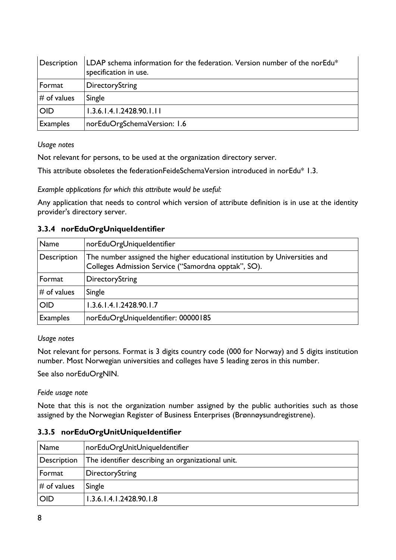| Description     | LDAP schema information for the federation. Version number of the norEdu*<br>specification in use. |
|-----------------|----------------------------------------------------------------------------------------------------|
| Format          | DirectoryString                                                                                    |
| $#$ of values   | Single                                                                                             |
| <b>OID</b>      | 1.3.6.1.4.1.2428.90.1.11                                                                           |
| <b>Examples</b> | norEduOrgSchemaVersion: 1.6                                                                        |

Not relevant for persons, to be used at the organization directory server.

This attribute obsoletes the federationFeideSchemaVersion introduced in norEdu\* 1.3.

*Example applications for which this attribute would be useful:*

Any application that needs to control which version of attribute definition is in use at the identity provider's directory server.

| Name            | norEduOrgUniqueIdentifier                                                                                                         |
|-----------------|-----------------------------------------------------------------------------------------------------------------------------------|
| Description     | The number assigned the higher educational institution by Universities and<br>Colleges Admission Service ("Samordna opptak", SO). |
| Format          | DirectoryString                                                                                                                   |
| $#$ of values   | Single                                                                                                                            |
| <b>OID</b>      | 1.3.6.1.4.1.2428.90.1.7                                                                                                           |
| <b>Examples</b> | norEduOrgUniqueIdentifier: 00000185                                                                                               |

## **3.3.4 norEduOrgUniqueIdentifier**

*Usage notes*

Not relevant for persons. Format is 3 digits country code (000 for Norway) and 5 digits institution number. Most Norwegian universities and colleges have 5 leading zeros in this number.

See also norEduOrgNIN.

*Feide usage note*

Note that this is not the organization number assigned by the public authorities such as those assigned by the Norwegian Register of Business Enterprises (Brønnøysundregistrene).

#### **3.3.5 norEduOrgUnitUniqueIdentifier**

| Name          | norEduOrgUnitUniqueIdentifier                     |
|---------------|---------------------------------------------------|
| Description   | The identifier describing an organizational unit. |
| Format        | DirectoryString                                   |
| $#$ of values | Single                                            |
| <b>OID</b>    | 1.3.6.1.4.1.2428.90.1.8                           |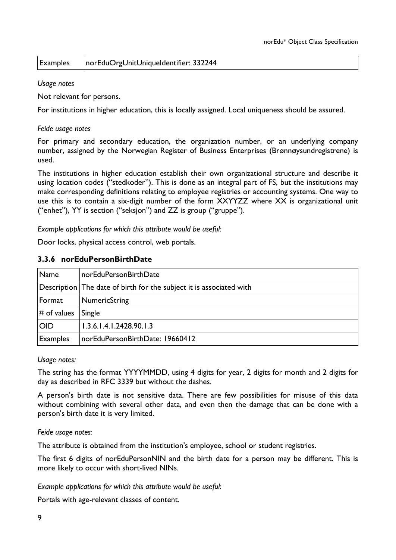## Examples | norEduOrgUnitUniqueIdentifier: 332244

#### *Usage notes*

Not relevant for persons.

For institutions in higher education, this is locally assigned. Local uniqueness should be assured.

#### *Feide usage notes*

For primary and secondary education, the organization number, or an underlying company number, assigned by the Norwegian Register of Business Enterprises (Brønnøysundregistrene) is used.

The institutions in higher education establish their own organizational structure and describe it using location codes ("stedkoder"). This is done as an integral part of FS, but the institutions may make corresponding definitions relating to employee registries or accounting systems. One way to use this is to contain a six-digit number of the form XXYYZZ where XX is organizational unit ("enhet"), YY is section ("seksjon") and ZZ is group ("gruppe").

*Example applications for which this attribute would be useful:*

Door locks, physical access control, web portals.

#### **3.3.6 norEduPersonBirthDate**

| Name            | norEduPersonBirthDate                                               |
|-----------------|---------------------------------------------------------------------|
|                 | Description The date of birth for the subject it is associated with |
| Format          | NumericString                                                       |
| $#$ of values   | Single                                                              |
| <b>OID</b>      | 1.3.6.1.4.1.2428.90.1.3                                             |
| <b>Examples</b> | norEduPersonBirthDate: 19660412                                     |

#### *Usage notes:*

The string has the format YYYYMMDD, using 4 digits for year, 2 digits for month and 2 digits for day as described in RFC 3339 but without the dashes.

A person's birth date is not sensitive data. There are few possibilities for misuse of this data without combining with several other data, and even then the damage that can be done with a person's birth date it is very limited.

#### *Feide usage notes:*

The attribute is obtained from the institution's employee, school or student registries.

The first 6 digits of norEduPersonNIN and the birth date for a person may be different. This is more likely to occur with short-lived NINs.

*Example applications for which this attribute would be useful:*

Portals with age-relevant classes of content.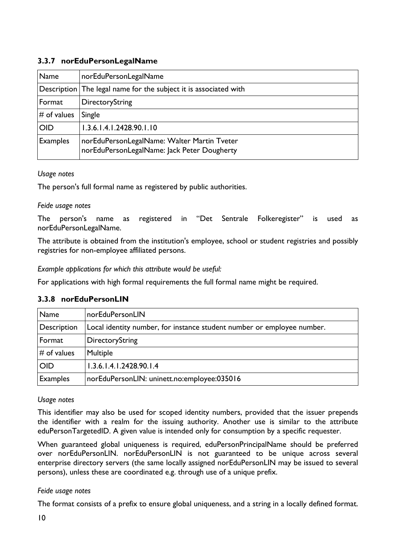## **3.3.7 norEduPersonLegalName**

| Name            | norEduPersonLegalName                                                                      |
|-----------------|--------------------------------------------------------------------------------------------|
|                 | Description The legal name for the subject it is associated with                           |
| Format          | DirectoryString                                                                            |
| $#$ of values   | Single                                                                                     |
| <b>OID</b>      | 1.3.6.1.4.1.2428.90.1.10                                                                   |
| <b>Examples</b> | norEduPersonLegalName: Walter Martin Tveter<br>norEduPersonLegalName: Jack Peter Dougherty |

*Usage notes*

The person's full formal name as registered by public authorities.

## *Feide usage notes*

The person's name as registered in "Det Sentrale Folkeregister" is used as norEduPersonLegalName.

The attribute is obtained from the institution's employee, school or student registries and possibly registries for non-employee affiliated persons.

*Example applications for which this attribute would be useful:*

For applications with high formal requirements the full formal name might be required.

## **3.3.8 norEduPersonLIN**

| Name            | norEduPersonLIN                                                        |
|-----------------|------------------------------------------------------------------------|
| Description     | Local identity number, for instance student number or employee number. |
| Format          | DirectoryString                                                        |
| $\#$ of values  | Multiple                                                               |
| <b>OID</b>      | 1.3.6.1.4.1.2428.90.1.4                                                |
| <b>Examples</b> | norEduPersonLIN: uninett.no:employee:035016                            |

## *Usage notes*

This identifier may also be used for scoped identity numbers, provided that the issuer prepends the identifier with a realm for the issuing authority. Another use is similar to the attribute eduPersonTargetedID. A given value is intended only for consumption by a specific requester.

When guaranteed global uniqueness is required, eduPersonPrincipalName should be preferred over norEduPersonLIN. norEduPersonLIN is not guaranteed to be unique across several enterprise directory servers (the same locally assigned norEduPersonLIN may be issued to several persons), unless these are coordinated e.g. through use of a unique prefix.

## *Feide usage notes*

The format consists of a prefix to ensure global uniqueness, and a string in a locally defined format.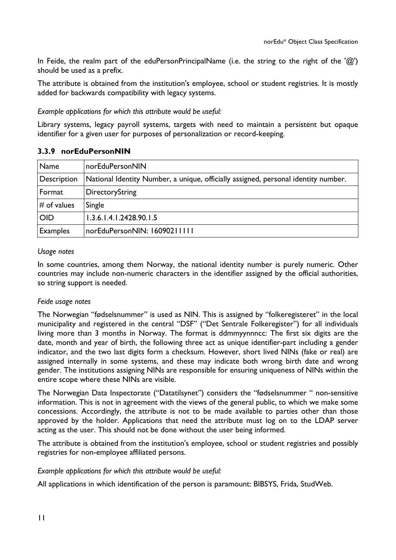In Feide, the realm part of the eduPersonPrincipalName (i.e. the string to the right of the ' $\omega$ ') should be used as a prefix.

The attribute is obtained from the institution's employee, school or student registries. It is mostly added for backwards compatibility with legacy systems.

#### *Example applications for which this attribute would be useful:*

Library systems, legacy payroll systems, targets with need to maintain a persistent but opaque identifier for a given user for purposes of personalization or record-keeping.

#### **3.3.9 norEduPersonNIN**

| Name            | norEduPersonNIN                                                                    |
|-----------------|------------------------------------------------------------------------------------|
| Description     | National Identity Number, a unique, officially assigned, personal identity number. |
| Format          | DirectoryString                                                                    |
| $\#$ of values  | Single                                                                             |
| <b>OID</b>      | 1.3.6.1.4.1.2428.90.1.5                                                            |
| <b>Examples</b> | norEduPersonNIN: 16090211111                                                       |

#### *Usage notes*

In some countries, among them Norway, the national identity number is purely numeric. Other countries may include non-numeric characters in the identifier assigned by the official authorities, so string support is needed.

#### *Feide usage notes*

The Norwegian "fødselsnummer" is used as NIN. This is assigned by "folkeregisteret" in the local municipality and registered in the central "DSF" ("Det Sentrale Folkeregister") for all individuals living more than 3 months in Norway. The format is ddmmyynnncc: The first six digits are the date, month and year of birth, the following three act as unique identifier-part including a gender indicator, and the two last digits form a checksum. However, short lived NINs (fake or real) are assigned internally in some systems, and these may indicate both wrong birth date and wrong gender. The institutions assigning NINs are responsible for ensuring uniqueness of NINs within the entire scope where these NINs are visible.

The Norwegian Data Inspectorate ("Datatilsynet") considers the "fødselsnummer " non-sensitive information. This is not in agreement with the views of the general public, to which we make some concessions. Accordingly, the attribute is not to be made available to parties other than those approved by the holder. Applications that need the attribute must log on to the LDAP server acting as the user. This should not be done without the user being informed.

The attribute is obtained from the institution's employee, school or student registries and possibly registries for non-employee affiliated persons.

#### *Example applications for which this attribute would be useful:*

All applications in which identification of the person is paramount: BIBSYS, Frida, StudWeb.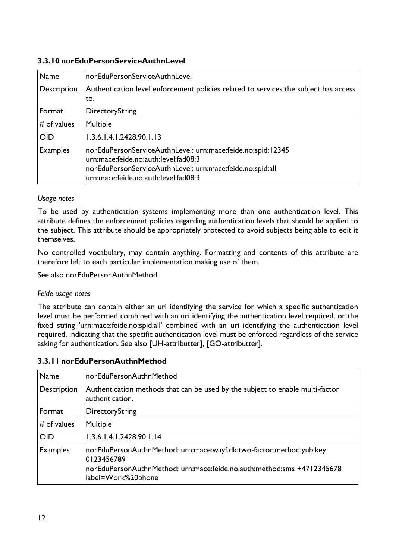## **3.3.10 norEduPersonServiceAuthnLevel**

| Name            | norEduPersonServiceAuthnLevel                                                                                                                                                                            |
|-----------------|----------------------------------------------------------------------------------------------------------------------------------------------------------------------------------------------------------|
| Description     | Authentication level enforcement policies related to services the subject has access<br>to.                                                                                                              |
| Format          | DirectoryString                                                                                                                                                                                          |
| $#$ of values   | Multiple                                                                                                                                                                                                 |
| <b>OID</b>      | 1.3.6.1.4.1.2428.90.1.13                                                                                                                                                                                 |
| <b>Examples</b> | norEduPersonServiceAuthnLevel: urn:mace:feide.no:spid:12345<br>urn:mace:feide.no:auth:level:fad08:3<br>norEduPersonServiceAuthnLevel: urn:mace:feide.no:spid:all<br>urn:mace:feide.no:auth:level:fad08:3 |

#### *Usage notes*

To be used by authentication systems implementing more than one authentication level. This attribute defines the enforcement policies regarding authentication levels that should be applied to the subject. This attribute should be appropriately protected to avoid subjects being able to edit it themselves.

No controlled vocabulary, may contain anything. Formatting and contents of this attribute are therefore left to each particular implementation making use of them.

See also norEduPersonAuthnMethod.

#### *Feide usage notes*

The attribute can contain either an uri identifying the service for which a specific authentication level must be performed combined with an uri identifying the authentication level required, or the fixed string 'urn:mace:feide.no:spid:all' combined with an uri identifying the authentication level required, indicating that the specific authentication level must be enforced regardless of the service asking for authentication. See also [UH-attributter], [GO-attributter].

#### **3.3.11 norEduPersonAuthnMethod**

| <b>Name</b>     | norEduPersonAuthnMethod                                                                                                                                                           |
|-----------------|-----------------------------------------------------------------------------------------------------------------------------------------------------------------------------------|
| Description     | Authentication methods that can be used by the subject to enable multi-factor<br>authentication.                                                                                  |
| Format          | DirectoryString                                                                                                                                                                   |
| $\#$ of values  | Multiple                                                                                                                                                                          |
| <b>OID</b>      | 1.3.6.1.4.1.2428.90.1.14                                                                                                                                                          |
| <b>Examples</b> | norEduPersonAuthnMethod: urn:mace:wayf.dk:two-factor:method:yubikey<br>0123456789<br>norEduPersonAuthnMethod: urn:mace:feide.no:auth:method:sms +4712345678<br>label=Work%20phone |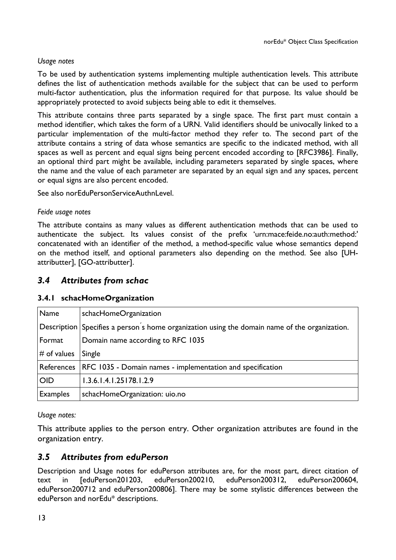To be used by authentication systems implementing multiple authentication levels. This attribute defines the list of authentication methods available for the subject that can be used to perform multi-factor authentication, plus the information required for that purpose. Its value should be appropriately protected to avoid subjects being able to edit it themselves.

This attribute contains three parts separated by a single space. The first part must contain a method identifier, which takes the form of a URN. Valid identifiers should be univocally linked to a particular implementation of the multi-factor method they refer to. The second part of the attribute contains a string of data whose semantics are specific to the indicated method, with all spaces as well as percent and equal signs being percent encoded according to [RFC3986]. Finally, an optional third part might be available, including parameters separated by single spaces, where the name and the value of each parameter are separated by an equal sign and any spaces, percent or equal signs are also percent encoded.

See also norEduPersonServiceAuthnLevel.

#### *Feide usage notes*

The attribute contains as many values as different authentication methods that can be used to authenticate the subject. Its values consist of the prefix 'urn:mace:feide.no:auth:method:' concatenated with an identifier of the method, a method-specific value whose semantics depend on the method itself, and optional parameters also depending on the method. See also [UHattributter], [GO-attributter].

## *3.4 Attributes from schac*

## **3.4.1 schacHomeOrganization**

| Name            | schacHomeOrganization                                                                         |
|-----------------|-----------------------------------------------------------------------------------------------|
|                 | Description Specifies a person's home organization using the domain name of the organization. |
| Format          | Domain name according to RFC 1035                                                             |
| $#$ of values   | Single                                                                                        |
|                 | References   RFC 1035 - Domain names - implementation and specification                       |
| <b>OID</b>      | 1.3.6.1.4.1.25178.1.2.9                                                                       |
| <b>Examples</b> | schacHomeOrganization: uio.no                                                                 |

#### *Usage notes:*

This attribute applies to the person entry. Other organization attributes are found in the organization entry.

# *3.5 Attributes from eduPerson*

Description and Usage notes for eduPerson attributes are, for the most part, direct citation of text in [eduPerson201203, eduPerson200210, eduPerson200312, eduPerson200604, eduPerson200712 and eduPerson200806]. There may be some stylistic differences between the eduPerson and norEdu\* descriptions.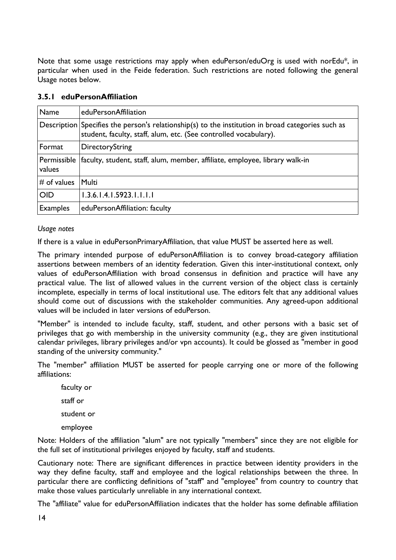Note that some usage restrictions may apply when eduPerson/eduOrg is used with norEdu<sup>\*</sup>, in particular when used in the Feide federation. Such restrictions are noted following the general Usage notes below.

| <b>Name</b>     | eduPersonAffiliation                                                                                                                                                  |
|-----------------|-----------------------------------------------------------------------------------------------------------------------------------------------------------------------|
|                 | Description Specifies the person's relationship(s) to the institution in broad categories such as<br>student, faculty, staff, alum, etc. (See controlled vocabulary). |
| Format          | DirectoryString                                                                                                                                                       |
| values          | Permissible   faculty, student, staff, alum, member, affiliate, employee, library walk-in                                                                             |
| $#$ of values   | Multi                                                                                                                                                                 |
| <b>OID</b>      | 1.3.6.1.4.1.5923.1.1.1.1                                                                                                                                              |
| <b>Examples</b> | eduPersonAffiliation: faculty                                                                                                                                         |

### **3.5.1 eduPersonAffiliation**

#### *Usage notes*

If there is a value in eduPersonPrimaryAffiliation, that value MUST be asserted here as well.

The primary intended purpose of eduPersonAffiliation is to convey broad-category affiliation assertions between members of an identity federation. Given this inter-institutional context, only values of eduPersonAffiliation with broad consensus in definition and practice will have any practical value. The list of allowed values in the current version of the object class is certainly incomplete, especially in terms of local institutional use. The editors felt that any additional values should come out of discussions with the stakeholder communities. Any agreed-upon additional values will be included in later versions of eduPerson.

"Member" is intended to include faculty, staff, student, and other persons with a basic set of privileges that go with membership in the university community (e.g., they are given institutional calendar privileges, library privileges and/or vpn accounts). It could be glossed as "member in good standing of the university community."

The "member" affiliation MUST be asserted for people carrying one or more of the following affiliations:

faculty or staff or student or employee

Note: Holders of the affiliation "alum" are not typically "members" since they are not eligible for the full set of institutional privileges enjoyed by faculty, staff and students.

Cautionary note: There are significant differences in practice between identity providers in the way they define faculty, staff and employee and the logical relationships between the three. In particular there are conflicting definitions of "staff" and "employee" from country to country that make those values particularly unreliable in any international context.

The "affiliate" value for eduPersonAffiliation indicates that the holder has some definable affiliation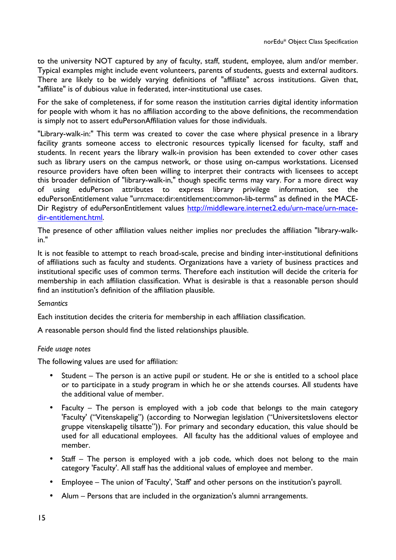to the university NOT captured by any of faculty, staff, student, employee, alum and/or member. Typical examples might include event volunteers, parents of students, guests and external auditors. There are likely to be widely varying definitions of "affiliate" across institutions. Given that, "affiliate" is of dubious value in federated, inter-institutional use cases.

For the sake of completeness, if for some reason the institution carries digital identity information for people with whom it has no affiliation according to the above definitions, the recommendation is simply not to assert eduPersonAffiliation values for those individuals.

"Library-walk-in:" This term was created to cover the case where physical presence in a library facility grants someone access to electronic resources typically licensed for faculty, staff and students. In recent years the library walk-in provision has been extended to cover other cases such as library users on the campus network, or those using on-campus workstations. Licensed resource providers have often been willing to interpret their contracts with licensees to accept this broader definition of "library-walk-in," though specific terms may vary. For a more direct way of using eduPerson attributes to express library privilege information, see the eduPersonEntitlement value "urn:mace:dir:entitlement:common-lib-terms" as defined in the MACE-Dir Registry of eduPersonEntitlement values http://middleware.internet2.edu/urn-mace/urn-macedir-entitlement.html.

The presence of other affiliation values neither implies nor precludes the affiliation "library-walkin."

It is not feasible to attempt to reach broad-scale, precise and binding inter-institutional definitions of affiliations such as faculty and students. Organizations have a variety of business practices and institutional specific uses of common terms. Therefore each institution will decide the criteria for membership in each affiliation classification. What is desirable is that a reasonable person should find an institution's definition of the affiliation plausible.

#### *Semantics*

Each institution decides the criteria for membership in each affiliation classification.

A reasonable person should find the listed relationships plausible.

#### *Feide usage notes*

The following values are used for affiliation:

- Student The person is an active pupil or student. He or she is entitled to a school place or to participate in a study program in which he or she attends courses. All students have the additional value of member.
- Faculty The person is employed with a job code that belongs to the main category 'Faculty' ("Vitenskapelig") (according to Norwegian legislation ("Universitetslovens elector gruppe vitenskapelig tilsatte")). For primary and secondary education, this value should be used for all educational employees. All faculty has the additional values of employee and member.
- Staff The person is employed with a job code, which does not belong to the main category 'Faculty'. All staff has the additional values of employee and member.
- Employee The union of 'Faculty', 'Staff' and other persons on the institution's payroll.
- Alum Persons that are included in the organization's alumni arrangements.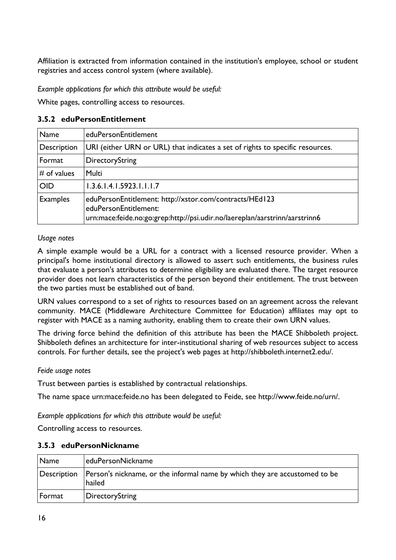Affiliation is extracted from information contained in the institution's employee, school or student registries and access control system (where available).

*Example applications for which this attribute would be useful:*

White pages, controlling access to resources.

#### **3.5.2 eduPersonEntitlement**

| Name            | eduPersonEntitlement                                                                                                                                            |
|-----------------|-----------------------------------------------------------------------------------------------------------------------------------------------------------------|
| Description     | URI (either URN or URL) that indicates a set of rights to specific resources.                                                                                   |
| Format          | DirectoryString                                                                                                                                                 |
| $#$ of values   | Multi                                                                                                                                                           |
| <b>OID</b>      | 1.3.6.1.4.1.5923.1.1.1.7                                                                                                                                        |
| <b>Examples</b> | eduPersonEntitlement: http://xstor.com/contracts/HEd123<br>eduPersonEntitlement:<br>urn:mace:feide.no:go:grep:http://psi.udir.no/laereplan/aarstrinn/aarstrinn6 |

#### *Usage notes*

A simple example would be a URL for a contract with a licensed resource provider. When a principal's home institutional directory is allowed to assert such entitlements, the business rules that evaluate a person's attributes to determine eligibility are evaluated there. The target resource provider does not learn characteristics of the person beyond their entitlement. The trust between the two parties must be established out of band.

URN values correspond to a set of rights to resources based on an agreement across the relevant community. MACE (Middleware Architecture Committee for Education) affiliates may opt to register with MACE as a naming authority, enabling them to create their own URN values.

The driving force behind the definition of this attribute has been the MACE Shibboleth project. Shibboleth defines an architecture for inter-institutional sharing of web resources subject to access controls. For further details, see the project's web pages at http://shibboleth.internet2.edu/.

#### *Feide usage notes*

Trust between parties is established by contractual relationships.

The name space urn:mace:feide.no has been delegated to Feide, see http://www.feide.no/urn/.

*Example applications for which this attribute would be useful:*

Controlling access to resources.

#### **3.5.3 eduPersonNickname**

| $\sqrt{\frac{1}{2}}$ Name | eduPersonNickname                                                                    |
|---------------------------|--------------------------------------------------------------------------------------|
| Description               | Person's nickname, or the informal name by which they are accustomed to be<br>hailed |
| $ $ Format                | <b>DirectoryString</b>                                                               |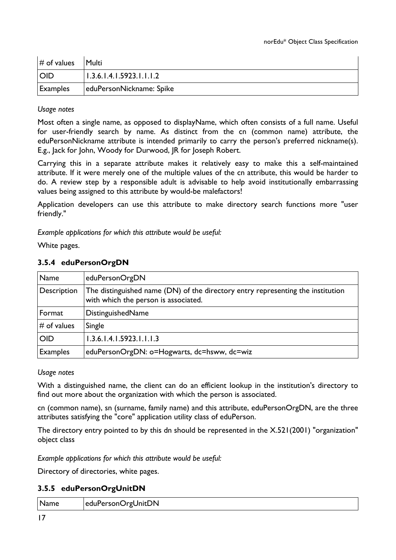| $#$ of values | Multi                    |
|---------------|--------------------------|
| <b>OID</b>    | 1.3.6.1.4.1.5923.1.1.1.2 |
| Examples      | eduPersonNickname: Spike |

Most often a single name, as opposed to displayName, which often consists of a full name. Useful for user-friendly search by name. As distinct from the cn (common name) attribute, the eduPersonNickname attribute is intended primarily to carry the person's preferred nickname(s). E.g., Jack for John, Woody for Durwood, JR for Joseph Robert.

Carrying this in a separate attribute makes it relatively easy to make this a self-maintained attribute. If it were merely one of the multiple values of the cn attribute, this would be harder to do. A review step by a responsible adult is advisable to help avoid institutionally embarrassing values being assigned to this attribute by would-be malefactors!

Application developers can use this attribute to make directory search functions more "user friendly."

*Example applications for which this attribute would be useful:*

White pages.

#### **3.5.4 eduPersonOrgDN**

| Name            | eduPersonOrgDN                                                                                                          |
|-----------------|-------------------------------------------------------------------------------------------------------------------------|
| Description     | The distinguished name (DN) of the directory entry representing the institution<br>with which the person is associated. |
| Format          | DistinguishedName                                                                                                       |
| $#$ of values   | Single                                                                                                                  |
| <b>OID</b>      | 1.3.6.1.4.1.5923.1.1.1.3                                                                                                |
| <b>Examples</b> | eduPersonOrgDN: o=Hogwarts, dc=hsww, dc=wiz                                                                             |

#### *Usage notes*

With a distinguished name, the client can do an efficient lookup in the institution's directory to find out more about the organization with which the person is associated.

cn (common name), sn (surname, family name) and this attribute, eduPersonOrgDN, are the three attributes satisfying the "core" application utility class of eduPerson.

The directory entry pointed to by this dn should be represented in the X.521(2001) "organization" object class

*Example applications for which this attribute would be useful:*

Directory of directories, white pages.

#### **3.5.5 eduPersonOrgUnitDN**

| Name<br>eduPersonOrgUnitDN |  |
|----------------------------|--|
|----------------------------|--|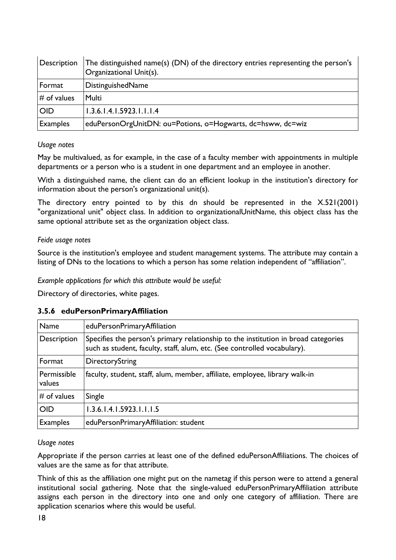| Description     | The distinguished name(s) (DN) of the directory entries representing the person's<br>Organizational Unit(s). |
|-----------------|--------------------------------------------------------------------------------------------------------------|
| Format          | DistinguishedName                                                                                            |
| $#$ of values   | Multi                                                                                                        |
| <b>OID</b>      | 1.3.6.1.4.1.5923.1.1.1.4                                                                                     |
| <b>Examples</b> | eduPersonOrgUnitDN: ou=Potions, o=Hogwarts, dc=hsww, dc=wiz                                                  |

May be multivalued, as for example, in the case of a faculty member with appointments in multiple departments or a person who is a student in one department and an employee in another.

With a distinguished name, the client can do an efficient lookup in the institution's directory for information about the person's organizational unit(s).

The directory entry pointed to by this dn should be represented in the X.521(2001) "organizational unit" object class. In addition to organizationalUnitName, this object class has the same optional attribute set as the organization object class.

#### *Feide usage notes*

Source is the institution's employee and student management systems. The attribute may contain a listing of DNs to the locations to which a person has some relation independent of "affiliation".

*Example applications for which this attribute would be useful:*

Directory of directories, white pages.

#### **3.5.6 eduPersonPrimaryAffiliation**

| Name                  | eduPersonPrimaryAffiliation                                                                                                                                    |
|-----------------------|----------------------------------------------------------------------------------------------------------------------------------------------------------------|
| Description           | Specifies the person's primary relationship to the institution in broad categories<br>such as student, faculty, staff, alum, etc. (See controlled vocabulary). |
| Format                | DirectoryString                                                                                                                                                |
| Permissible<br>values | faculty, student, staff, alum, member, affiliate, employee, library walk-in                                                                                    |
| $#$ of values         | Single                                                                                                                                                         |
| <b>OID</b>            | 1.3.6.1.4.1.5923.1.1.1.5                                                                                                                                       |
| <b>Examples</b>       | eduPersonPrimaryAffiliation: student                                                                                                                           |

#### *Usage notes*

Appropriate if the person carries at least one of the defined eduPersonAffiliations. The choices of values are the same as for that attribute.

Think of this as the affiliation one might put on the nametag if this person were to attend a general institutional social gathering. Note that the single-valued eduPersonPrimaryAffiliation attribute assigns each person in the directory into one and only one category of affiliation. There are application scenarios where this would be useful.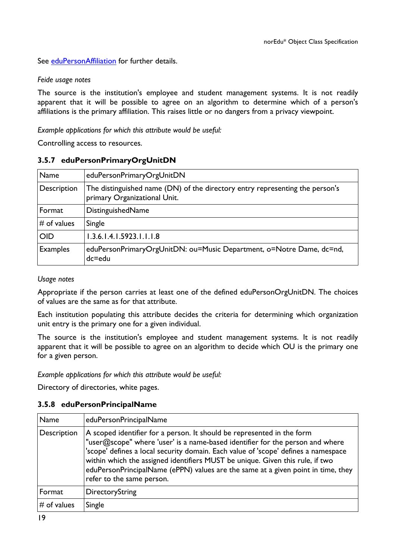See eduPersonAffiliation for further details.

#### *Feide usage notes*

The source is the institution's employee and student management systems. It is not readily apparent that it will be possible to agree on an algorithm to determine which of a person's affiliations is the primary affiliation. This raises little or no dangers from a privacy viewpoint.

*Example applications for which this attribute would be useful:*

Controlling access to resources.

## **3.5.7 eduPersonPrimaryOrgUnitDN**

| Name            | eduPersonPrimaryOrgUnitDN                                                                                    |
|-----------------|--------------------------------------------------------------------------------------------------------------|
| Description     | The distinguished name (DN) of the directory entry representing the person's<br>primary Organizational Unit. |
| Format          | DistinguishedName                                                                                            |
| $#$ of values   | Single                                                                                                       |
| <b>OID</b>      | 1.3.6.1.4.1.5923.1.1.1.8                                                                                     |
| <b>Examples</b> | eduPersonPrimaryOrgUnitDN: ou=Music Department, o=Notre Dame, dc=nd,<br>$dc = edu$                           |

#### *Usage notes*

Appropriate if the person carries at least one of the defined eduPersonOrgUnitDN. The choices of values are the same as for that attribute.

Each institution populating this attribute decides the criteria for determining which organization unit entry is the primary one for a given individual.

The source is the institution's employee and student management systems. It is not readily apparent that it will be possible to agree on an algorithm to decide which OU is the primary one for a given person.

*Example applications for which this attribute would be useful:*

Directory of directories, white pages.

## **3.5.8 eduPersonPrincipalName**

| Name          | eduPersonPrincipalName                                                                                                                                                                                                                                                                                                                                                                                                                          |
|---------------|-------------------------------------------------------------------------------------------------------------------------------------------------------------------------------------------------------------------------------------------------------------------------------------------------------------------------------------------------------------------------------------------------------------------------------------------------|
| Description   | A scoped identifier for a person. It should be represented in the form<br>"user@scope" where 'user' is a name-based identifier for the person and where<br>'scope' defines a local security domain. Each value of 'scope' defines a namespace<br>within which the assigned identifiers MUST be unique. Given this rule, if two<br>eduPersonPrincipalName (ePPN) values are the same at a given point in time, they<br>refer to the same person. |
| Format        | DirectoryString                                                                                                                                                                                                                                                                                                                                                                                                                                 |
| $#$ of values | Single                                                                                                                                                                                                                                                                                                                                                                                                                                          |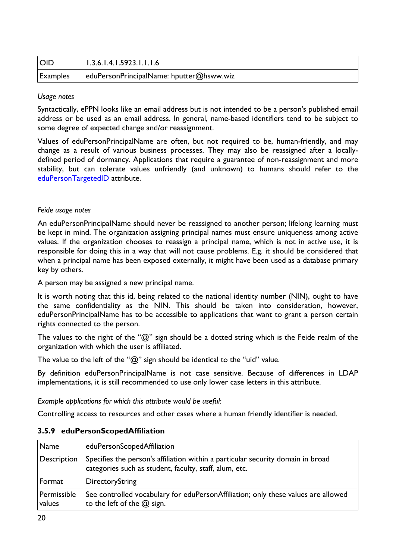| <b>OID</b>      | 1.3.6.1.4.1.5923.1.1.1.6                 |
|-----------------|------------------------------------------|
| <b>Examples</b> | eduPersonPrincipalName: hputter@hsww.wiz |

Syntactically, ePPN looks like an email address but is not intended to be a person's published email address or be used as an email address. In general, name-based identifiers tend to be subject to some degree of expected change and/or reassignment.

Values of eduPersonPrincipalName are often, but not required to be, human-friendly, and may change as a result of various business processes. They may also be reassigned after a locallydefined period of dormancy. Applications that require a guarantee of non-reassignment and more stability, but can tolerate values unfriendly (and unknown) to humans should refer to the eduPersonTargetedID attribute.

#### *Feide usage notes*

An eduPersonPrincipalName should never be reassigned to another person; lifelong learning must be kept in mind. The organization assigning principal names must ensure uniqueness among active values. If the organization chooses to reassign a principal name, which is not in active use, it is responsible for doing this in a way that will not cause problems. E.g. it should be considered that when a principal name has been exposed externally, it might have been used as a database primary key by others.

A person may be assigned a new principal name.

It is worth noting that this id, being related to the national identity number (NIN), ought to have the same confidentiality as the NIN. This should be taken into consideration, however, eduPersonPrincipalName has to be accessible to applications that want to grant a person certain rights connected to the person.

The values to the right of the " $@$ " sign should be a dotted string which is the Feide realm of the organization with which the user is affiliated.

The value to the left of the "@" sign should be identical to the "uid" value.

By definition eduPersonPrincipalName is not case sensitive. Because of differences in LDAP implementations, it is still recommended to use only lower case letters in this attribute.

*Example applications for which this attribute would be useful:*

Controlling access to resources and other cases where a human friendly identifier is needed.

| Name                  | eduPersonScopedAffiliation                                                                                                                |
|-----------------------|-------------------------------------------------------------------------------------------------------------------------------------------|
| Description           | Specifies the person's affiliation within a particular security domain in broad<br>categories such as student, faculty, staff, alum, etc. |
| Format                | DirectoryString                                                                                                                           |
| Permissible<br>values | See controlled vocabulary for eduPersonAffiliation; only these values are allowed<br>to the left of the $@$ sign.                         |

#### **3.5.9 eduPersonScopedAffiliation**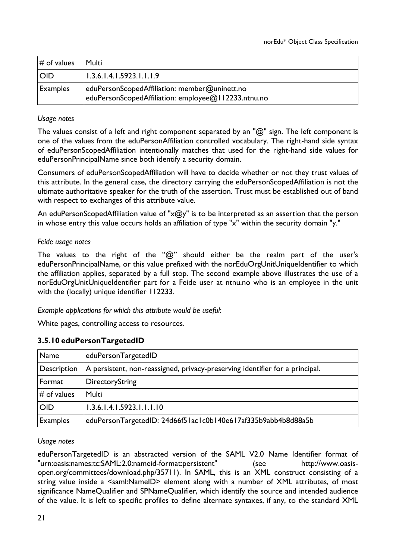| $\#$ of values  | Multi                                                                                                |
|-----------------|------------------------------------------------------------------------------------------------------|
| <b>OID</b>      | 1.3.6.1.4.1.5923.1.1.1.9                                                                             |
| <b>Examples</b> | eduPersonScopedAffiliation: member@uninett.no<br>eduPersonScopedAffiliation: employee@112233.ntnu.no |

The values consist of a left and right component separated by an " $@$ " sign. The left component is one of the values from the eduPersonAffiliation controlled vocabulary. The right-hand side syntax of eduPersonScopedAffiliation intentionally matches that used for the right-hand side values for eduPersonPrincipalName since both identify a security domain.

Consumers of eduPersonScopedAffiliation will have to decide whether or not they trust values of this attribute. In the general case, the directory carrying the eduPersonScopedAffiliation is not the ultimate authoritative speaker for the truth of the assertion. Trust must be established out of band with respect to exchanges of this attribute value.

An eduPersonScopedAffiliation value of " $x@y$ " is to be interpreted as an assertion that the person in whose entry this value occurs holds an affiliation of type "x" within the security domain "y."

#### *Feide usage notes*

The values to the right of the " $@$ " should either be the realm part of the user's eduPersonPrincipalName, or this value prefixed with the norEduOrgUnitUniqueIdentifier to which the affiliation applies, separated by a full stop. The second example above illustrates the use of a norEduOrgUnitUniqueIdentifier part for a Feide user at ntnu.no who is an employee in the unit with the (locally) unique identifier 112233.

*Example applications for which this attribute would be useful:*

White pages, controlling access to resources.

## **3.5.10 eduPersonTargetedID**

| Name            | eduPersonTargetedID                                                          |
|-----------------|------------------------------------------------------------------------------|
| Description     | A persistent, non-reassigned, privacy-preserving identifier for a principal. |
| Format          | DirectoryString                                                              |
| $\#$ of values  | Multi                                                                        |
| <b>OID</b>      | 1.3.6.1.4.1.5923.1.1.1.10                                                    |
| <b>Examples</b> | eduPersonTargetedID: 24d66f51ac1c0b140e617af335b9abb4b8d88a5b                |

#### *Usage notes*

eduPersonTargetedID is an abstracted version of the SAML V2.0 Name Identifier format of "urn:oasis:names:tc:SAML:2.0:nameid-format:persistent" (see http://www.oasisopen.org/committees/download.php/35711). In SAML, this is an XML construct consisting of a string value inside a <saml:NameID> element along with a number of XML attributes, of most significance NameQualifier and SPNameQualifier, which identify the source and intended audience of the value. It is left to specific profiles to define alternate syntaxes, if any, to the standard XML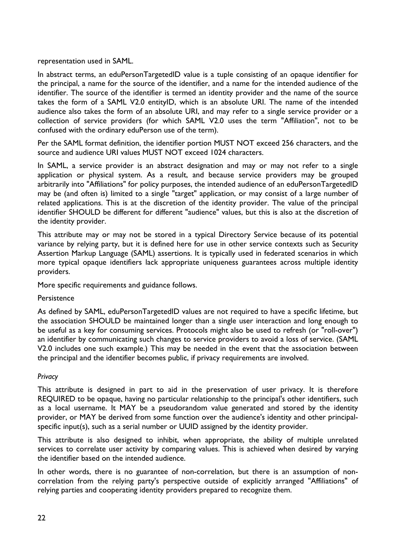representation used in SAML.

In abstract terms, an eduPersonTargetedID value is a tuple consisting of an opaque identifier for the principal, a name for the source of the identifier, and a name for the intended audience of the identifier. The source of the identifier is termed an identity provider and the name of the source takes the form of a SAML V2.0 entityID, which is an absolute URI. The name of the intended audience also takes the form of an absolute URI, and may refer to a single service provider or a collection of service providers (for which SAML V2.0 uses the term "Affiliation", not to be confused with the ordinary eduPerson use of the term).

Per the SAML format definition, the identifier portion MUST NOT exceed 256 characters, and the source and audience URI values MUST NOT exceed 1024 characters.

In SAML, a service provider is an abstract designation and may or may not refer to a single application or physical system. As a result, and because service providers may be grouped arbitrarily into "Affiliations" for policy purposes, the intended audience of an eduPersonTargetedID may be (and often is) limited to a single "target" application, or may consist of a large number of related applications. This is at the discretion of the identity provider. The value of the principal identifier SHOULD be different for different "audience" values, but this is also at the discretion of the identity provider.

This attribute may or may not be stored in a typical Directory Service because of its potential variance by relying party, but it is defined here for use in other service contexts such as Security Assertion Markup Language (SAML) assertions. It is typically used in federated scenarios in which more typical opaque identifiers lack appropriate uniqueness guarantees across multiple identity providers.

More specific requirements and guidance follows.

#### **Persistence**

As defined by SAML, eduPersonTargetedID values are not required to have a specific lifetime, but the association SHOULD be maintained longer than a single user interaction and long enough to be useful as a key for consuming services. Protocols might also be used to refresh (or "roll-over") an identifier by communicating such changes to service providers to avoid a loss of service. (SAML V2.0 includes one such example.) This may be needed in the event that the association between the principal and the identifier becomes public, if privacy requirements are involved.

#### *Privacy*

This attribute is designed in part to aid in the preservation of user privacy. It is therefore REQUIRED to be opaque, having no particular relationship to the principal's other identifiers, such as a local username. It MAY be a pseudorandom value generated and stored by the identity provider, or MAY be derived from some function over the audience's identity and other principalspecific input(s), such as a serial number or UUID assigned by the identity provider.

This attribute is also designed to inhibit, when appropriate, the ability of multiple unrelated services to correlate user activity by comparing values. This is achieved when desired by varying the identifier based on the intended audience.

In other words, there is no guarantee of non-correlation, but there is an assumption of noncorrelation from the relying party's perspective outside of explicitly arranged "Affiliations" of relying parties and cooperating identity providers prepared to recognize them.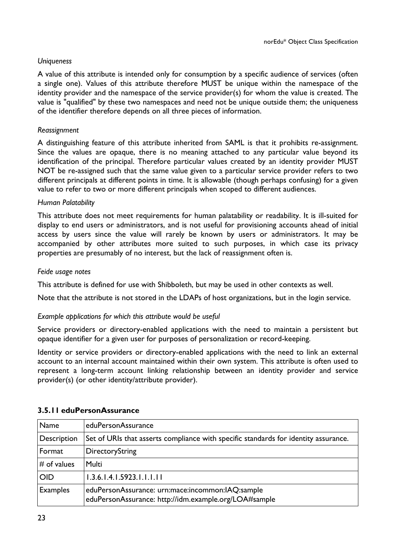#### *Uniqueness*

A value of this attribute is intended only for consumption by a specific audience of services (often a single one). Values of this attribute therefore MUST be unique within the namespace of the identity provider and the namespace of the service provider(s) for whom the value is created. The value is "qualified" by these two namespaces and need not be unique outside them; the uniqueness of the identifier therefore depends on all three pieces of information.

#### *Reassignment*

A distinguishing feature of this attribute inherited from SAML is that it prohibits re-assignment. Since the values are opaque, there is no meaning attached to any particular value beyond its identification of the principal. Therefore particular values created by an identity provider MUST NOT be re-assigned such that the same value given to a particular service provider refers to two different principals at different points in time. It is allowable (though perhaps confusing) for a given value to refer to two or more different principals when scoped to different audiences.

#### *Human Palatability*

This attribute does not meet requirements for human palatability or readability. It is ill-suited for display to end users or administrators, and is not useful for provisioning accounts ahead of initial access by users since the value will rarely be known by users or administrators. It may be accompanied by other attributes more suited to such purposes, in which case its privacy properties are presumably of no interest, but the lack of reassignment often is.

#### *Feide usage notes*

This attribute is defined for use with Shibboleth, but may be used in other contexts as well.

Note that the attribute is not stored in the LDAPs of host organizations, but in the login service.

#### *Example applications for which this attribute would be useful*

Service providers or directory-enabled applications with the need to maintain a persistent but opaque identifier for a given user for purposes of personalization or record-keeping.

Identity or service providers or directory-enabled applications with the need to link an external account to an internal account maintained within their own system. This attribute is often used to represent a long-term account linking relationship between an identity provider and service provider(s) (or other identity/attribute provider).

| Name          | eduPersonAssurance                                                                                        |
|---------------|-----------------------------------------------------------------------------------------------------------|
| Description   | Set of URIs that asserts compliance with specific standards for identity assurance.                       |
| Format        | DirectoryString                                                                                           |
| $#$ of values | Multi                                                                                                     |
| <b>OID</b>    | 1.3.6.1.4.1.5923.1.1.1.11                                                                                 |
| Examples      | eduPersonAssurance: urn:mace:incommon:IAQ:sample<br>eduPersonAssurance: http://idm.example.org/LOA#sample |

#### **3.5.11 eduPersonAssurance**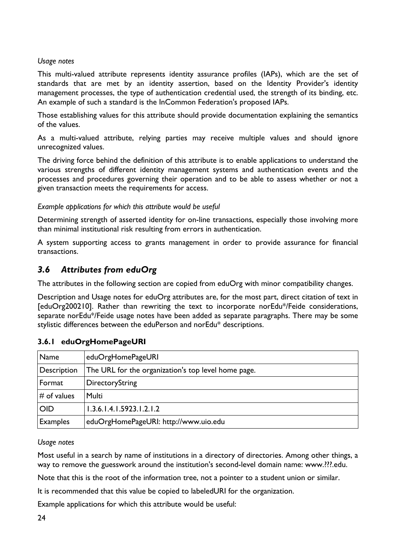This multi-valued attribute represents identity assurance profiles (IAPs), which are the set of standards that are met by an identity assertion, based on the Identity Provider's identity management processes, the type of authentication credential used, the strength of its binding, etc. An example of such a standard is the InCommon Federation's proposed IAPs.

Those establishing values for this attribute should provide documentation explaining the semantics of the values.

As a multi-valued attribute, relying parties may receive multiple values and should ignore unrecognized values.

The driving force behind the definition of this attribute is to enable applications to understand the various strengths of different identity management systems and authentication events and the processes and procedures governing their operation and to be able to assess whether or not a given transaction meets the requirements for access.

#### *Example applications for which this attribute would be useful*

Determining strength of asserted identity for on-line transactions, especially those involving more than minimal institutional risk resulting from errors in authentication.

A system supporting access to grants management in order to provide assurance for financial transactions.

# *3.6 Attributes from eduOrg*

The attributes in the following section are copied from eduOrg with minor compatibility changes.

Description and Usage notes for eduOrg attributes are, for the most part, direct citation of text in [eduOrg200210]. Rather than rewriting the text to incorporate norEdu\*/Feide considerations, separate norEdu\*/Feide usage notes have been added as separate paragraphs. There may be some stylistic differences between the eduPerson and norEdu\* descriptions.

| Name            | eduOrgHomePageURI                                   |
|-----------------|-----------------------------------------------------|
| Description     | The URL for the organization's top level home page. |
| Format          | DirectoryString                                     |
| $\#$ of values  | Multi                                               |
| <b>OID</b>      | 1.3.6.1.4.1.5923.1.2.1.2                            |
| <b>Examples</b> | eduOrgHomePageURI: http://www.uio.edu               |

## **3.6.1 eduOrgHomePageURI**

#### *Usage notes*

Most useful in a search by name of institutions in a directory of directories. Among other things, a way to remove the guesswork around the institution's second-level domain name: www.???.edu.

Note that this is the root of the information tree, not a pointer to a student union or similar.

It is recommended that this value be copied to labeledURI for the organization.

Example applications for which this attribute would be useful: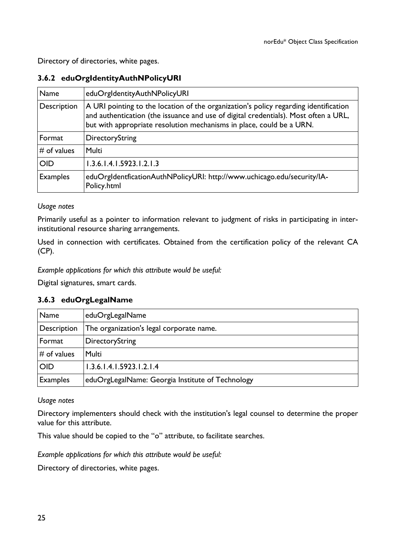Directory of directories, white pages.

## **3.6.2 eduOrgIdentityAuthNPolicyURI**

| Name            | eduOrgIdentityAuthNPolicyURI                                                                                                                                                                                                                        |
|-----------------|-----------------------------------------------------------------------------------------------------------------------------------------------------------------------------------------------------------------------------------------------------|
| Description     | A URI pointing to the location of the organization's policy regarding identification<br>and authentication (the issuance and use of digital credentials). Most often a URL,<br>but with appropriate resolution mechanisms in place, could be a URN. |
| Format          | DirectoryString                                                                                                                                                                                                                                     |
| $#$ of values   | <b>Multi</b>                                                                                                                                                                                                                                        |
| <b>OID</b>      | 1.3.6.1.4.1.5923.1.2.1.3                                                                                                                                                                                                                            |
| <b>Examples</b> | eduOrgIdentficationAuthNPolicyURI: http://www.uchicago.edu/security/IA-<br>Policy.html                                                                                                                                                              |

#### *Usage notes*

Primarily useful as a pointer to information relevant to judgment of risks in participating in interinstitutional resource sharing arrangements.

Used in connection with certificates. Obtained from the certification policy of the relevant CA (CP).

*Example applications for which this attribute would be useful:*

Digital signatures, smart cards.

#### **3.6.3 eduOrgLegalName**

| Name            | eduOrgLegalName                                  |
|-----------------|--------------------------------------------------|
| Description     | The organization's legal corporate name.         |
| Format          | DirectoryString                                  |
| $#$ of values   | Multi                                            |
| <b>OID</b>      | 1.3.6.1.4.1.5923.1.2.1.4                         |
| <b>Examples</b> | eduOrgLegalName: Georgia Institute of Technology |

#### *Usage notes*

Directory implementers should check with the institution's legal counsel to determine the proper value for this attribute.

This value should be copied to the "o" attribute, to facilitate searches.

*Example applications for which this attribute would be useful:*

Directory of directories, white pages.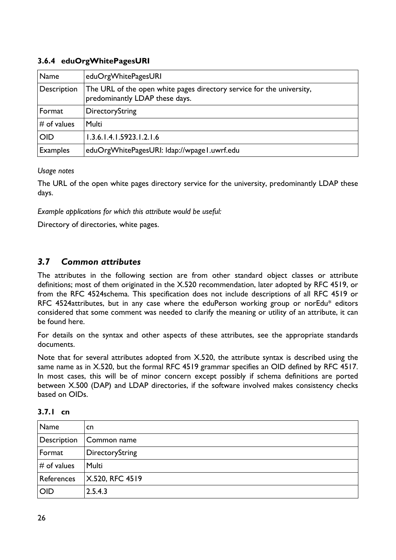## **3.6.4 eduOrgWhitePagesURI**

| Name            | eduOrgWhitePagesURI                                                                                     |
|-----------------|---------------------------------------------------------------------------------------------------------|
| Description     | The URL of the open white pages directory service for the university,<br>predominantly LDAP these days. |
| Format          | DirectoryString                                                                                         |
| $#$ of values   | Multi                                                                                                   |
| <b>OID</b>      | 1.3.6.1.4.1.5923.1.2.1.6                                                                                |
| <b>Examples</b> | eduOrgWhitePagesURI: Idap://wpage1.uwrf.edu                                                             |

#### *Usage notes*

The URL of the open white pages directory service for the university, predominantly LDAP these days.

*Example applications for which this attribute would be useful:*

Directory of directories, white pages.

# *3.7 Common attributes*

The attributes in the following section are from other standard object classes or attribute definitions; most of them originated in the X.520 recommendation, later adopted by RFC 4519, or from the RFC 4524schema. This specification does not include descriptions of all RFC 4519 or RFC 4524attributes, but in any case where the eduPerson working group or norEdu\* editors considered that some comment was needed to clarify the meaning or utility of an attribute, it can be found here.

For details on the syntax and other aspects of these attributes, see the appropriate standards documents.

Note that for several attributes adopted from X.520, the attribute syntax is described using the same name as in X.520, but the formal RFC 4519 grammar specifies an OID defined by RFC 4517. In most cases, this will be of minor concern except possibly if schema definitions are ported between X.500 (DAP) and LDAP directories, if the software involved makes consistency checks based on OIDs.

| Name           | <b>cn</b>       |
|----------------|-----------------|
| Description    | Common name     |
| Format         | DirectoryString |
| $\#$ of values | Multi           |
| References     | X.520, RFC 4519 |
| <b>OID</b>     | 2.5.4.3         |

**3.7.1 cn**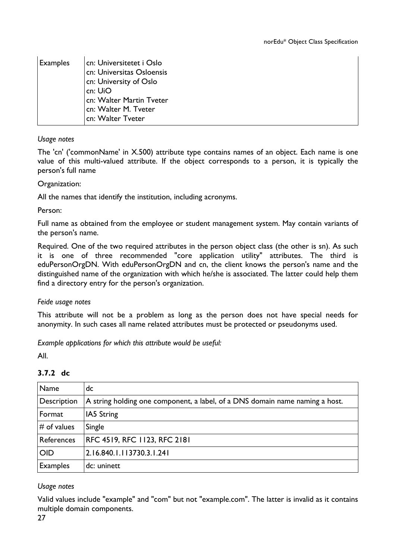| <b>Examples</b> | ∣cn: Universitetet i Oslo<br>cn: Universitas Osloensis<br>cn: University of Oslo<br>cn: UiO<br>cn: Walter Martin Tveter<br>cn: Walter M. Tveter |
|-----------------|-------------------------------------------------------------------------------------------------------------------------------------------------|
|                 | cn: Walter Tveter                                                                                                                               |

The 'cn' ('commonName' in X.500) attribute type contains names of an object. Each name is one value of this multi-valued attribute. If the object corresponds to a person, it is typically the person's full name

#### Organization:

All the names that identify the institution, including acronyms.

Person:

Full name as obtained from the employee or student management system. May contain variants of the person's name.

Required. One of the two required attributes in the person object class (the other is sn). As such it is one of three recommended "core application utility" attributes. The third is eduPersonOrgDN. With eduPersonOrgDN and cn, the client knows the person's name and the distinguished name of the organization with which he/she is associated. The latter could help them find a directory entry for the person's organization.

#### *Feide usage notes*

This attribute will not be a problem as long as the person does not have special needs for anonymity. In such cases all name related attributes must be protected or pseudonyms used.

*Example applications for which this attribute would be useful:*

All.

| Name            | dc                                                                           |
|-----------------|------------------------------------------------------------------------------|
| Description     | A string holding one component, a label, of a DNS domain name naming a host. |
| Format          | IA5 String                                                                   |
| $\#$ of values  | Single                                                                       |
| References      | RFC 4519, RFC 1123, RFC 2181                                                 |
| <b>OID</b>      | 2.16.840.1.113730.3.1.241                                                    |
| <b>Examples</b> | dc: uninett                                                                  |

#### **3.7.2 dc**

#### *Usage notes*

Valid values include "example" and "com" but not "example.com". The latter is invalid as it contains multiple domain components.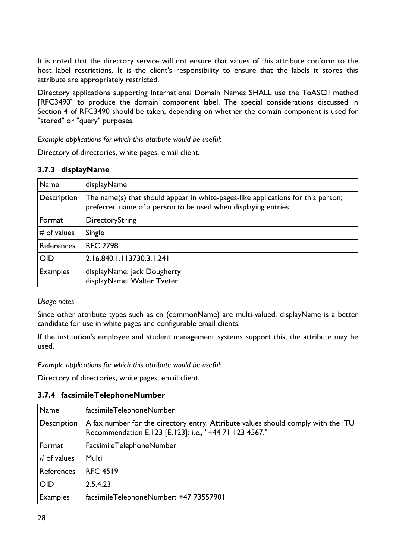It is noted that the directory service will not ensure that values of this attribute conform to the host label restrictions. It is the client's responsibility to ensure that the labels it stores this attribute are appropriately restricted.

Directory applications supporting International Domain Names SHALL use the ToASCII method [RFC3490] to produce the domain component label. The special considerations discussed in Section 4 of RFC3490 should be taken, depending on whether the domain component is used for "stored" or "query" purposes.

*Example applications for which this attribute would be useful:*

Directory of directories, white pages, email client.

#### **3.7.3 displayName**

| Name            | displayName                                                                                                                                       |
|-----------------|---------------------------------------------------------------------------------------------------------------------------------------------------|
| Description     | The name(s) that should appear in white-pages-like applications for this person;<br>preferred name of a person to be used when displaying entries |
| Format          | DirectoryString                                                                                                                                   |
| $#$ of values   | Single                                                                                                                                            |
| References      | <b>RFC 2798</b>                                                                                                                                   |
| <b>OID</b>      | 2.16.840.1.113730.3.1.241                                                                                                                         |
| <b>Examples</b> | displayName: Jack Dougherty<br>displayName: Walter Tveter                                                                                         |

#### *Usage notes*

Since other attribute types such as cn (commonName) are multi-valued, displayName is a better candidate for use in white pages and configurable email clients.

If the institution's employee and student management systems support this, the attribute may be used.

*Example applications for which this attribute would be useful:*

Directory of directories, white pages, email client.

#### **3.7.4 facsimileTelephoneNumber**

| Name           | facsimileTelephoneNumber                                                                                                                    |
|----------------|---------------------------------------------------------------------------------------------------------------------------------------------|
| Description    | A fax number for the directory entry. Attribute values should comply with the ITU<br>Recommendation E.123 [E.123]: i.e., "+44 71 123 4567." |
| Format         | FacsimileTelephoneNumber                                                                                                                    |
| $\#$ of values | <b>Multi</b>                                                                                                                                |
| References     | <b>RFC 4519</b>                                                                                                                             |
| <b>OID</b>     | 2.5.4.23                                                                                                                                    |
| Examples       | facsimileTelephoneNumber: +47 73557901                                                                                                      |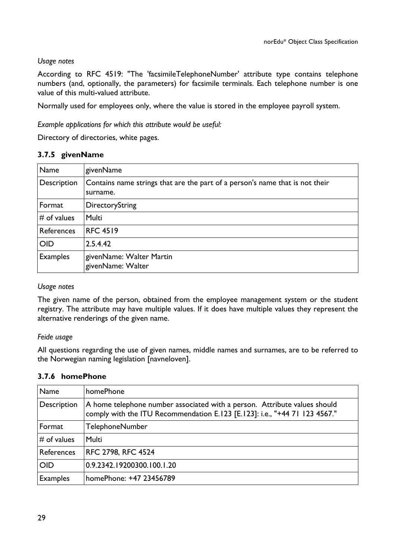According to RFC 4519: "The 'facsimileTelephoneNumber' attribute type contains telephone numbers (and, optionally, the parameters) for facsimile terminals. Each telephone number is one value of this multi-valued attribute.

Normally used for employees only, where the value is stored in the employee payroll system.

*Example applications for which this attribute would be useful:*

Directory of directories, white pages.

#### **3.7.5 givenName**

| Name            | givenName                                                                                |
|-----------------|------------------------------------------------------------------------------------------|
| Description     | Contains name strings that are the part of a person's name that is not their<br>surname. |
| Format          | DirectoryString                                                                          |
| $#$ of values   | <b>Multi</b>                                                                             |
| References      | <b>RFC 4519</b>                                                                          |
| <b>OID</b>      | 2.5.4.42                                                                                 |
| <b>Examples</b> | givenName: Walter Martin<br>givenName: Walter                                            |

#### *Usage notes*

The given name of the person, obtained from the employee management system or the student registry. The attribute may have multiple values. If it does have multiple values they represent the alternative renderings of the given name.

#### *Feide usage*

All questions regarding the use of given names, middle names and surnames, are to be referred to the Norwegian naming legislation [navneloven].

#### **3.7.6 homePhone**

| Name            | homePhone                                                                                                                                               |
|-----------------|---------------------------------------------------------------------------------------------------------------------------------------------------------|
| Description     | A home telephone number associated with a person. Attribute values should<br>comply with the ITU Recommendation E.123 [E.123]: i.e., "+44 71 123 4567." |
| Format          | <b>TelephoneNumber</b>                                                                                                                                  |
| $#$ of values   | Multi                                                                                                                                                   |
| References      | RFC 2798, RFC 4524                                                                                                                                      |
| <b>OID</b>      | 0.9.2342.19200300.100.1.20                                                                                                                              |
| <b>Examples</b> | homePhone: +47 23456789                                                                                                                                 |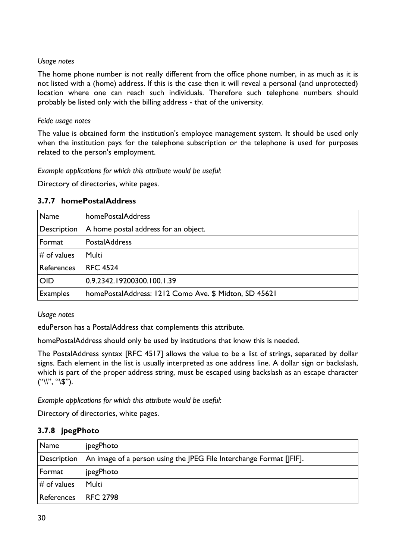The home phone number is not really different from the office phone number, in as much as it is not listed with a (home) address. If this is the case then it will reveal a personal (and unprotected) location where one can reach such individuals. Therefore such telephone numbers should probably be listed only with the billing address - that of the university.

#### *Feide usage notes*

The value is obtained form the institution's employee management system. It should be used only when the institution pays for the telephone subscription or the telephone is used for purposes related to the person's employment.

*Example applications for which this attribute would be useful:*

Directory of directories, white pages.

#### **3.7.7 homePostalAddress**

| Name            | homePostalAddress                                     |
|-----------------|-------------------------------------------------------|
| Description     | A home postal address for an object.                  |
| Format          | <b>PostalAddress</b>                                  |
| $#$ of values   | Multi                                                 |
| References      | <b>RFC 4524</b>                                       |
| <b>OID</b>      | 0.9.2342.19200300.100.1.39                            |
| <b>Examples</b> | homePostalAddress: 1212 Como Ave. \$ Midton, SD 45621 |

*Usage notes*

eduPerson has a PostalAddress that complements this attribute.

homePostalAddress should only be used by institutions that know this is needed.

The PostalAddress syntax [RFC 4517] allows the value to be a list of strings, separated by dollar signs. Each element in the list is usually interpreted as one address line. A dollar sign or backslash, which is part of the proper address string, must be escaped using backslash as an escape character  $(''\))^{\prime\prime}$ , "\\$").

*Example applications for which this attribute would be useful:*

Directory of directories, white pages.

#### **3.7.8 jpegPhoto**

| Name           | jpegPhoto                                                           |
|----------------|---------------------------------------------------------------------|
| Description    | An image of a person using the JPEG File Interchange Format [JFIF]. |
| Format         | jpegPhoto                                                           |
| $\#$ of values | Multi                                                               |
| References     | <b>RFC 2798</b>                                                     |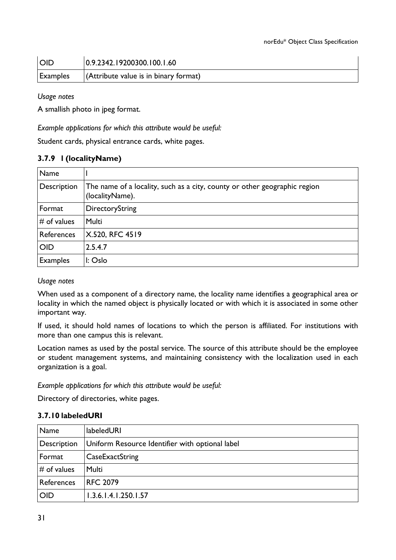| <b>OID</b> | 0.9.2342.19200300.100.1.60                                 |
|------------|------------------------------------------------------------|
| Examples   | $\sqrt{\frac{4}{1}}$ (Attribute value is in binary format) |

A smallish photo in jpeg format.

*Example applications for which this attribute would be useful:*

Student cards, physical entrance cards, white pages.

## **3.7.9 l (localityName)**

| Name            |                                                                                              |
|-----------------|----------------------------------------------------------------------------------------------|
| Description     | The name of a locality, such as a city, county or other geographic region<br>(localityName). |
| Format          | DirectoryString                                                                              |
| $#$ of values   | Multi                                                                                        |
| References      | X.520, RFC 4519                                                                              |
| <b>OID</b>      | 2.5.4.7                                                                                      |
| <b>Examples</b> | $\mathsf{I}: \mathsf{Oslo}$                                                                  |

#### *Usage notes*

When used as a component of a directory name, the locality name identifies a geographical area or locality in which the named object is physically located or with which it is associated in some other important way.

If used, it should hold names of locations to which the person is affiliated. For institutions with more than one campus this is relevant.

Location names as used by the postal service. The source of this attribute should be the employee or student management systems, and maintaining consistency with the localization used in each organization is a goal.

*Example applications for which this attribute would be useful:*

Directory of directories, white pages.

#### **3.7.10 labeledURI**

| Name          | <b>labeledURI</b>                               |
|---------------|-------------------------------------------------|
| Description   | Uniform Resource Identifier with optional label |
| Format        | CaseExactString                                 |
| $#$ of values | Multi                                           |
| References    | <b>RFC 2079</b>                                 |
| <b>OID</b>    | 1.3.6.1.4.1.250.1.57                            |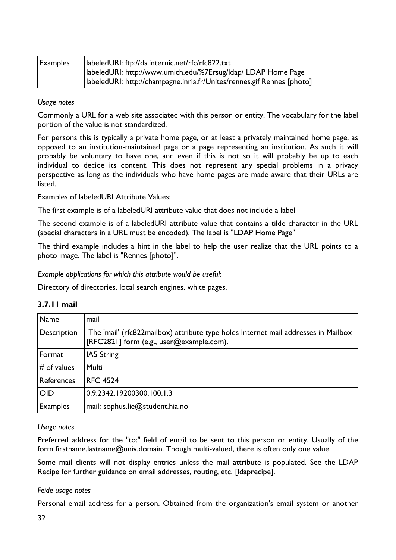| $\mathsf{I}$ Examples | labeledURI: ftp://ds.internic.net/rfc/rfc822.txt                       |
|-----------------------|------------------------------------------------------------------------|
|                       | labeledURI: http://www.umich.edu/%7Ersug/Idap/ LDAP Home Page          |
|                       | labeledURI: http://champagne.inria.fr/Unites/rennes.gif Rennes [photo] |

Commonly a URL for a web site associated with this person or entity. The vocabulary for the label portion of the value is not standardized.

For persons this is typically a private home page, or at least a privately maintained home page, as opposed to an institution-maintained page or a page representing an institution. As such it will probably be voluntary to have one, and even if this is not so it will probably be up to each individual to decide its content. This does not represent any special problems in a privacy perspective as long as the individuals who have home pages are made aware that their URLs are listed.

Examples of labeledURI Attribute Values:

The first example is of a labeledURI attribute value that does not include a label

The second example is of a labeledURI attribute value that contains a tilde character in the URL (special characters in a URL must be encoded). The label is "LDAP Home Page"

The third example includes a hint in the label to help the user realize that the URL points to a photo image. The label is "Rennes [photo]".

*Example applications for which this attribute would be useful:*

Directory of directories, local search engines, white pages.

| Name              | mail                                                                                                                           |
|-------------------|--------------------------------------------------------------------------------------------------------------------------------|
| Description       | The 'mail' (rfc822mailbox) attribute type holds Internet mail addresses in Mailbox<br>[RFC2821] form (e.g., user@example.com). |
| Format            | IA5 String                                                                                                                     |
| $#$ of values     | Multi                                                                                                                          |
| <b>References</b> | <b>RFC 4524</b>                                                                                                                |
| <b>OID</b>        | 0.9.2342.19200300.100.1.3                                                                                                      |
| <b>Examples</b>   | mail: sophus.lie@student.hia.no                                                                                                |

## **3.7.11 mail**

#### *Usage notes*

Preferred address for the "to:" field of email to be sent to this person or entity. Usually of the form firstname.lastname@univ.domain. Though multi-valued, there is often only one value.

Some mail clients will not display entries unless the mail attribute is populated. See the LDAP Recipe for further guidance on email addresses, routing, etc. [ldaprecipe].

#### *Feide usage notes*

Personal email address for a person. Obtained from the organization's email system or another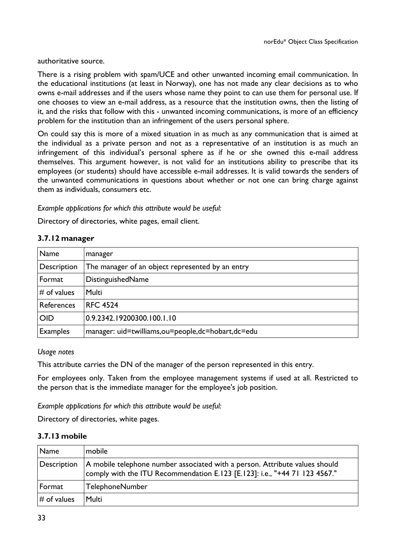authoritative source.

There is a rising problem with spam/UCE and other unwanted incoming email communication. In the educational institutions (at least in Norway), one has not made any clear decisions as to who owns e-mail addresses and if the users whose name they point to can use them for personal use. If one chooses to view an e-mail address, as a resource that the institution owns, then the listing of it, and the risks that follow with this - unwanted incoming communications, is more of an efficiency problem for the institution than an infringement of the users personal sphere.

On could say this is more of a mixed situation in as much as any communication that is aimed at the individual as a private person and not as a representative of an institution is as much an infringement of this individual's personal sphere as if he or she owned this e-mail address themselves. This argument however, is not valid for an institutions ability to prescribe that its employees (or students) should have accessible e-mail addresses. It is valid towards the senders of the unwanted communications in questions about whether or not one can bring charge against them as individuals, consumers etc.

#### *Example applications for which this attribute would be useful:*

Directory of directories, white pages, email client.

| 3.7.12 manager |  |
|----------------|--|
|----------------|--|

| Name            | manager                                              |
|-----------------|------------------------------------------------------|
| Description     | The manager of an object represented by an entry     |
| Format          | DistinguishedName                                    |
| $#$ of values   | Multi                                                |
| References      | <b>RFC 4524</b>                                      |
| <b>OID</b>      | 0.9.2342.19200300.100.1.10                           |
| <b>Examples</b> | manager: uid=twilliams, ou=people, dc=hobart, dc=edu |

#### *Usage notes*

This attribute carries the DN of the manager of the person represented in this entry.

For employees only. Taken from the employee management systems if used at all. Restricted to the person that is the immediate manager for the employee's job position.

*Example applications for which this attribute would be useful:*

Directory of directories, white pages.

#### **3.7.13 mobile**

| Name           | mobile                                                                                                                                                    |
|----------------|-----------------------------------------------------------------------------------------------------------------------------------------------------------|
| Description    | A mobile telephone number associated with a person. Attribute values should<br>comply with the ITU Recommendation E.123 [E.123]: i.e., "+44 71 123 4567." |
| Format         | <b>TelephoneNumber</b>                                                                                                                                    |
| $\#$ of values | Multi                                                                                                                                                     |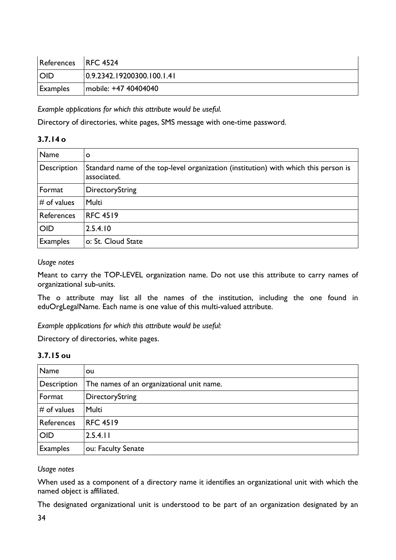| References RFC 4524 |                            |
|---------------------|----------------------------|
| <b>OID</b>          | 0.9.2342.19200300.100.1.41 |
| <b>Examples</b>     | mobile: +47 40404040       |

*Example applications for which this attribute would be useful.*

Directory of directories, white pages, SMS message with one-time password.

#### **3.7.14 o**

| <b>Name</b>     | O                                                                                                  |
|-----------------|----------------------------------------------------------------------------------------------------|
| Description     | Standard name of the top-level organization (institution) with which this person is<br>associated. |
| Format          | DirectoryString                                                                                    |
| $#$ of values   | <b>Multi</b>                                                                                       |
| References      | <b>RFC 4519</b>                                                                                    |
| <b>OID</b>      | 2.5.4.10                                                                                           |
| <b>Examples</b> | o: St. Cloud State                                                                                 |

#### *Usage notes*

Meant to carry the TOP-LEVEL organization name. Do not use this attribute to carry names of organizational sub-units.

The o attribute may list all the names of the institution, including the one found in eduOrgLegalName. Each name is one value of this multi-valued attribute.

*Example applications for which this attribute would be useful:*

Directory of directories, white pages.

#### **3.7.15 ou**

| Name            | ou                                        |
|-----------------|-------------------------------------------|
| Description     | The names of an organizational unit name. |
| Format          | DirectoryString                           |
| $#$ of values   | Multi                                     |
| References      | <b>RFC 4519</b>                           |
| <b>OID</b>      | 2.5.4.11                                  |
| <b>Examples</b> | ou: Faculty Senate                        |

#### *Usage notes*

When used as a component of a directory name it identifies an organizational unit with which the named object is affiliated.

The designated organizational unit is understood to be part of an organization designated by an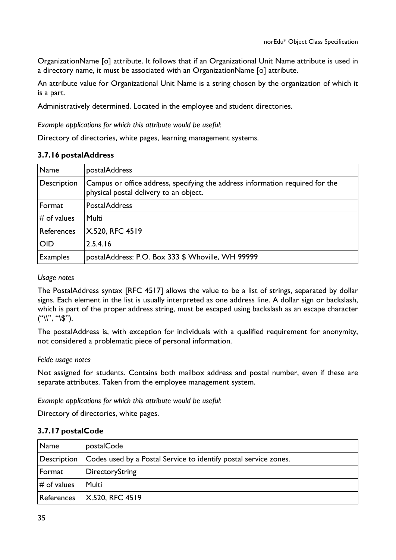OrganizationName [o] attribute. It follows that if an Organizational Unit Name attribute is used in a directory name, it must be associated with an OrganizationName [o] attribute.

An attribute value for Organizational Unit Name is a string chosen by the organization of which it is a part.

Administratively determined. Located in the employee and student directories.

*Example applications for which this attribute would be useful:*

Directory of directories, white pages, learning management systems.

#### **3.7.16 postalAddress**

| Name            | postalAddress                                                                                                           |
|-----------------|-------------------------------------------------------------------------------------------------------------------------|
| Description     | Campus or office address, specifying the address information required for the<br>physical postal delivery to an object. |
| Format          | <b>PostalAddress</b>                                                                                                    |
| $#$ of values   | <b>Multi</b>                                                                                                            |
| References      | X.520, RFC 4519                                                                                                         |
| <b>OID</b>      | 2.5.4.16                                                                                                                |
| <b>Examples</b> | postalAddress: P.O. Box 333 \$ Whoville, WH 99999                                                                       |

#### *Usage notes*

The PostalAddress syntax [RFC 4517] allows the value to be a list of strings, separated by dollar signs. Each element in the list is usually interpreted as one address line. A dollar sign or backslash, which is part of the proper address string, must be escaped using backslash as an escape character  $("\\", "\\$\$ .

The postalAddress is, with exception for individuals with a qualified requirement for anonymity, not considered a problematic piece of personal information.

#### *Feide usage notes*

Not assigned for students. Contains both mailbox address and postal number, even if these are separate attributes. Taken from the employee management system.

*Example applications for which this attribute would be useful:*

Directory of directories, white pages.

#### **3.7.17 postalCode**

| Name           | postalCode                                                       |
|----------------|------------------------------------------------------------------|
| Description    | Codes used by a Postal Service to identify postal service zones. |
| Format         | <b>DirectoryString</b>                                           |
| $\#$ of values | Multi                                                            |
| References     | $\mid$ X.520, RFC 4519                                           |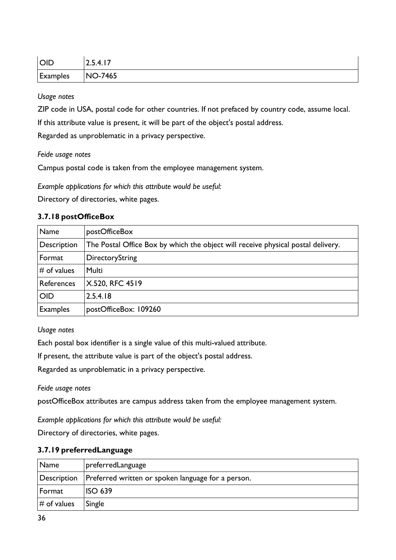| <b>OID</b> | 2.5.4.17 |
|------------|----------|
| Examples   | NO-7465  |

ZIP code in USA, postal code for other countries. If not prefaced by country code, assume local.

If this attribute value is present, it will be part of the object's postal address.

Regarded as unproblematic in a privacy perspective.

#### *Feide usage notes*

Campus postal code is taken from the employee management system.

*Example applications for which this attribute would be useful:*

Directory of directories, white pages.

#### **3.7.18 postOfficeBox**

| Name            | postOfficeBox                                                                    |
|-----------------|----------------------------------------------------------------------------------|
| Description     | The Postal Office Box by which the object will receive physical postal delivery. |
| Format          | DirectoryString                                                                  |
| $#$ of values   | Multi                                                                            |
| References      | X.520, RFC 4519                                                                  |
| <b>OID</b>      | 2.5.4.18                                                                         |
| <b>Examples</b> | postOfficeBox: 109260                                                            |

#### *Usage notes*

Each postal box identifier is a single value of this multi-valued attribute.

If present, the attribute value is part of the object's postal address.

Regarded as unproblematic in a privacy perspective.

*Feide usage notes*

postOfficeBox attributes are campus address taken from the employee management system.

*Example applications for which this attribute would be useful:*

Directory of directories, white pages.

#### **3.7.19 preferredLanguage**

| Name          | preferredLanguage                                                |
|---------------|------------------------------------------------------------------|
|               | Description   Preferred written or spoken language for a person. |
| Format        | ISO 639                                                          |
| $#$ of values | Single                                                           |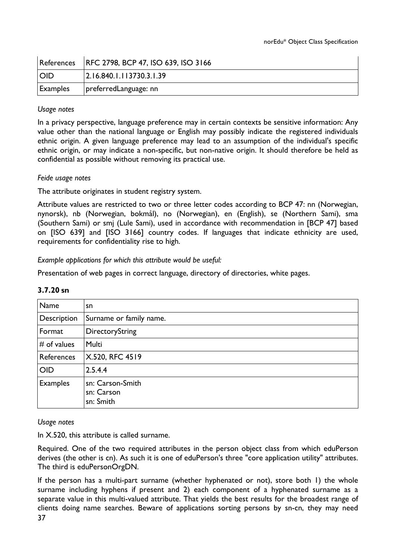|                 | References   RFC 2798, BCP 47, ISO 639, ISO 3166 |
|-----------------|--------------------------------------------------|
| <b>IOID</b>     | 2.16.840.1.113730.3.1.39                         |
| $\mid$ Examples | preferredLanguage: nn                            |

In a privacy perspective, language preference may in certain contexts be sensitive information: Any value other than the national language or English may possibly indicate the registered individuals ethnic origin. A given language preference may lead to an assumption of the individual's specific ethnic origin, or may indicate a non-specific, but non-native origin. It should therefore be held as confidential as possible without removing its practical use.

#### *Feide usage notes*

The attribute originates in student registry system.

Attribute values are restricted to two or three letter codes according to BCP 47: nn (Norwegian, nynorsk), nb (Norwegian, bokmål), no (Norwegian), en (English), se (Northern Sami), sma (Southern Sami) or smj (Lule Sami), used in accordance with recommendation in [BCP 47] based on [ISO 639] and [ISO 3166] country codes. If languages that indicate ethnicity are used, requirements for confidentiality rise to high.

*Example applications for which this attribute would be useful:*

Presentation of web pages in correct language, directory of directories, white pages.

| Name            | sn                                          |
|-----------------|---------------------------------------------|
| Description     | Surname or family name.                     |
| Format          | DirectoryString                             |
| $#$ of values   | <b>Multi</b>                                |
| References      | X.520, RFC 4519                             |
| <b>OID</b>      | 2.5.4.4                                     |
| <b>Examples</b> | sn: Carson-Smith<br>sn: Carson<br>sn: Smith |

#### **3.7.20 sn**

#### *Usage notes*

In X.520, this attribute is called surname.

Required. One of the two required attributes in the person object class from which eduPerson derives (the other is cn). As such it is one of eduPerson's three "core application utility" attributes. The third is eduPersonOrgDN.

37 If the person has a multi-part surname (whether hyphenated or not), store both 1) the whole surname including hyphens if present and 2) each component of a hyphenated surname as a separate value in this multi-valued attribute. That yields the best results for the broadest range of clients doing name searches. Beware of applications sorting persons by sn-cn, they may need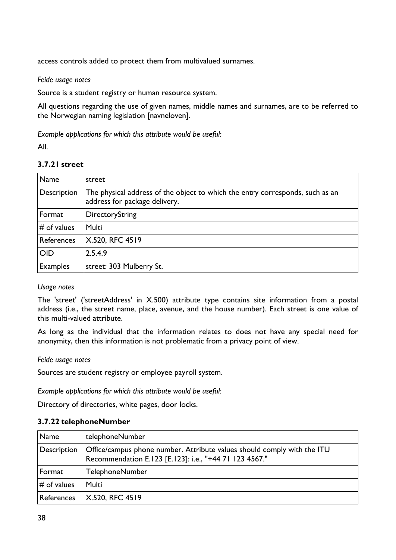access controls added to protect them from multivalued surnames.

#### *Feide usage notes*

Source is a student registry or human resource system.

All questions regarding the use of given names, middle names and surnames, are to be referred to the Norwegian naming legislation [navneloven].

*Example applications for which this attribute would be useful:*

All.

## **3.7.21 street**

| <b>Name</b>       | street                                                                                                         |
|-------------------|----------------------------------------------------------------------------------------------------------------|
| Description       | The physical address of the object to which the entry corresponds, such as an<br>address for package delivery. |
| Format            | DirectoryString                                                                                                |
| $#$ of values     | Multi                                                                                                          |
| <b>References</b> | X.520, RFC 4519                                                                                                |
| <b>OID</b>        | 2.5.4.9                                                                                                        |
| <b>Examples</b>   | street: 303 Mulberry St.                                                                                       |

#### *Usage notes*

The 'street' ('streetAddress' in X.500) attribute type contains site information from a postal address (i.e., the street name, place, avenue, and the house number). Each street is one value of this multi-valued attribute.

As long as the individual that the information relates to does not have any special need for anonymity, then this information is not problematic from a privacy point of view.

#### *Feide usage notes*

Sources are student registry or employee payroll system.

*Example applications for which this attribute would be useful:*

Directory of directories, white pages, door locks.

#### **3.7.22 telephoneNumber**

| Name          | telephoneNumber                                                                                                                   |
|---------------|-----------------------------------------------------------------------------------------------------------------------------------|
| Description   | Office/campus phone number. Attribute values should comply with the ITU<br>Recommendation E.123 [E.123]: i.e., "+44 71 123 4567." |
| Format        | <b>TelephoneNumber</b>                                                                                                            |
| $#$ of values | <b>Multi</b>                                                                                                                      |
| References    | $X.520,$ RFC 4519                                                                                                                 |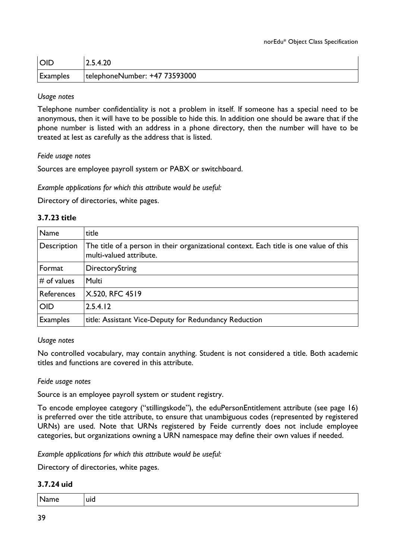| <b>OID</b> | 2.5.4.20                      |
|------------|-------------------------------|
| Examples   | telephoneNumber: +47 73593000 |

Telephone number confidentiality is not a problem in itself. If someone has a special need to be anonymous, then it will have to be possible to hide this. In addition one should be aware that if the phone number is listed with an address in a phone directory, then the number will have to be treated at lest as carefully as the address that is listed.

#### *Feide usage notes*

Sources are employee payroll system or PABX or switchboard.

*Example applications for which this attribute would be useful:*

Directory of directories, white pages.

#### **3.7.23 title**

| <b>Name</b>     | title                                                                                                             |
|-----------------|-------------------------------------------------------------------------------------------------------------------|
| Description     | The title of a person in their organizational context. Each title is one value of this<br>multi-valued attribute. |
| Format          | DirectoryString                                                                                                   |
| $#$ of values   | Multi                                                                                                             |
| References      | X.520, RFC 4519                                                                                                   |
| <b>OID</b>      | 2.5.4.12                                                                                                          |
| <b>Examples</b> | title: Assistant Vice-Deputy for Redundancy Reduction                                                             |

#### *Usage notes*

No controlled vocabulary, may contain anything. Student is not considered a title. Both academic titles and functions are covered in this attribute.

#### *Feide usage notes*

Source is an employee payroll system or student registry.

To encode employee category ("stillingskode"), the eduPersonEntitlement attribute (see page 16) is preferred over the title attribute, to ensure that unambiguous codes (represented by registered URNs) are used. Note that URNs registered by Feide currently does not include employee categories, but organizations owning a URN namespace may define their own values if needed.

*Example applications for which this attribute would be useful:*

Directory of directories, white pages.

#### **3.7.24 uid**

| Name uid |
|----------|
|----------|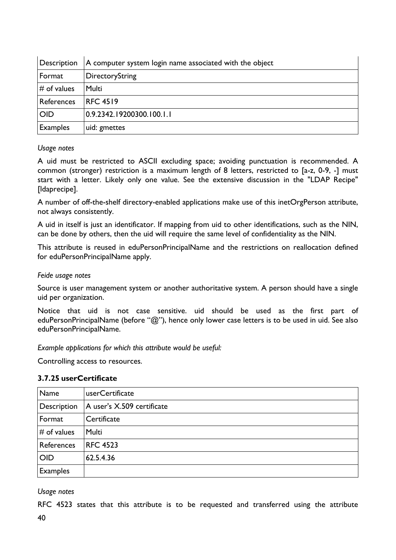| Description     | A computer system login name associated with the object |  |  |  |
|-----------------|---------------------------------------------------------|--|--|--|
| Format          | <b>DirectoryString</b>                                  |  |  |  |
| $\#$ of values  | <b>Multi</b>                                            |  |  |  |
| References      | <b>RFC 4519</b>                                         |  |  |  |
| <b>OID</b>      | 0.9.2342.19200300.100.1.1                               |  |  |  |
| <b>Examples</b> | uid: gmettes                                            |  |  |  |

A uid must be restricted to ASCII excluding space; avoiding punctuation is recommended. A common (stronger) restriction is a maximum length of 8 letters, restricted to [a-z, 0-9, -] must start with a letter. Likely only one value. See the extensive discussion in the "LDAP Recipe" [ldaprecipe].

A number of off-the-shelf directory-enabled applications make use of this inetOrgPerson attribute, not always consistently.

A uid in itself is just an identificator. If mapping from uid to other identifications, such as the NIN, can be done by others, then the uid will require the same level of confidentiality as the NIN.

This attribute is reused in eduPersonPrincipalName and the restrictions on reallocation defined for eduPersonPrincipalName apply.

#### *Feide usage notes*

Source is user management system or another authoritative system. A person should have a single uid per organization.

Notice that uid is not case sensitive. uid should be used as the first part of eduPersonPrincipalName (before "@"), hence only lower case letters is to be used in uid. See also eduPersonPrincipalName.

*Example applications for which this attribute would be useful:*

Controlling access to resources.

#### **3.7.25 userCertificate**

| Name            | userCertificate            |  |  |
|-----------------|----------------------------|--|--|
| Description     | A user's X.509 certificate |  |  |
| Format          | Certificate                |  |  |
| $#$ of values   | <b>Multi</b>               |  |  |
| References      | <b>RFC 4523</b>            |  |  |
| <b>OID</b>      | 62.5.4.36                  |  |  |
| <b>Examples</b> |                            |  |  |

*Usage notes*

RFC 4523 states that this attribute is to be requested and transferred using the attribute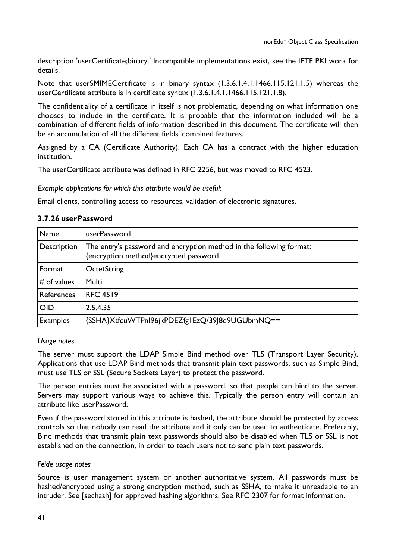description 'userCertificate;binary.' Incompatible implementations exist, see the IETF PKI work for details.

Note that userSMIMECertificate is in binary syntax (1.3.6.1.4.1.1466.115.121.1.5) whereas the userCertificate attribute is in certificate syntax (1.3.6.1.4.1.1466.115.121.1.8).

The confidentiality of a certificate in itself is not problematic, depending on what information one chooses to include in the certificate. It is probable that the information included will be a combination of different fields of information described in this document. The certificate will then be an accumulation of all the different fields' combined features.

Assigned by a CA (Certificate Authority). Each CA has a contract with the higher education institution.

The userCertificate attribute was defined in RFC 2256, but was moved to RFC 4523.

*Example applications for which this attribute would be useful:*

Email clients, controlling access to resources, validation of electronic signatures.

#### **3.7.26 userPassword**

| Name            | userPassword                                                                                                 |  |  |  |
|-----------------|--------------------------------------------------------------------------------------------------------------|--|--|--|
| Description     | The entry's password and encryption method in the following format:<br>{encryption method}encrypted password |  |  |  |
| Format          | OctetString                                                                                                  |  |  |  |
| $#$ of values   | Multi                                                                                                        |  |  |  |
| References      | <b>RFC 4519</b>                                                                                              |  |  |  |
| <b>OID</b>      | 2.5.4.35                                                                                                     |  |  |  |
| <b>Examples</b> | {SSHA}XtfcuWTPnI96jkPDEZfg1EzQ/39J8d9UGUbmNQ==                                                               |  |  |  |

#### *Usage notes*

The server must support the LDAP Simple Bind method over TLS (Transport Layer Security). Applications that use LDAP Bind methods that transmit plain text passwords, such as Simple Bind, must use TLS or SSL (Secure Sockets Layer) to protect the password.

The person entries must be associated with a password, so that people can bind to the server. Servers may support various ways to achieve this. Typically the person entry will contain an attribute like userPassword.

Even if the password stored in this attribute is hashed, the attribute should be protected by access controls so that nobody can read the attribute and it only can be used to authenticate. Preferably, Bind methods that transmit plain text passwords should also be disabled when TLS or SSL is not established on the connection, in order to teach users not to send plain text passwords.

#### *Feide usage notes*

Source is user management system or another authoritative system. All passwords must be hashed/encrypted using a strong encryption method, such as SSHA, to make it unreadable to an intruder. See [sechash] for approved hashing algorithms. See RFC 2307 for format information.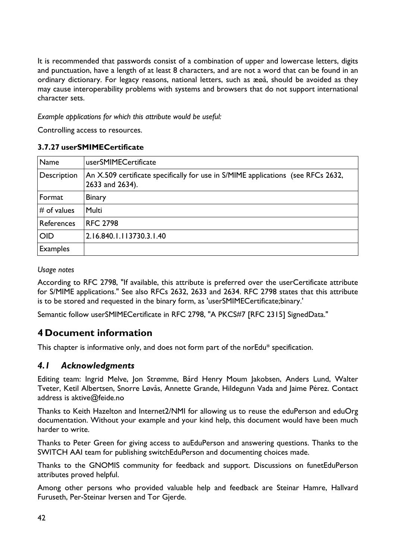It is recommended that passwords consist of a combination of upper and lowercase letters, digits and punctuation, have a length of at least 8 characters, and are not a word that can be found in an ordinary dictionary. For legacy reasons, national letters, such as æøå, should be avoided as they may cause interoperability problems with systems and browsers that do not support international character sets.

*Example applications for which this attribute would be useful:* 

Controlling access to resources.

#### **3.7.27 userSMIMECertificate**

| Name            | userSMIMECertificate                                                                                |
|-----------------|-----------------------------------------------------------------------------------------------------|
| Description     | An X.509 certificate specifically for use in S/MIME applications (see RFCs 2632,<br>2633 and 2634). |
| Format          | <b>Binary</b>                                                                                       |
| $#$ of values   | <b>Multi</b>                                                                                        |
| References      | <b>RFC 2798</b>                                                                                     |
| <b>OID</b>      | 2.16.840.1.113730.3.1.40                                                                            |
| <b>Examples</b> |                                                                                                     |

#### *Usage notes*

According to RFC 2798, "If available, this attribute is preferred over the userCertificate attribute for S/MIME applications." See also RFCs 2632, 2633 and 2634. RFC 2798 states that this attribute is to be stored and requested in the binary form, as 'userSMIMECertificate;binary.'

Semantic follow userSMIMECertificate in RFC 2798, "A PKCS#7 [RFC 2315] SignedData."

# **4 Document information**

This chapter is informative only, and does not form part of the norEdu\* specification.

# *4.1 Acknowledgments*

Editing team: Ingrid Melve, Jon Strømme, Bård Henry Moum Jakobsen, Anders Lund, Walter Tveter, Ketil Albertsen, Snorre Løvås, Annette Grande, Hildegunn Vada and Jaime Pérez. Contact address is aktive@feide.no

Thanks to Keith Hazelton and Internet2/NMI for allowing us to reuse the eduPerson and eduOrg documentation. Without your example and your kind help, this document would have been much harder to write.

Thanks to Peter Green for giving access to auEduPerson and answering questions. Thanks to the SWITCH AAI team for publishing switchEduPerson and documenting choices made.

Thanks to the GNOMIS community for feedback and support. Discussions on funetEduPerson attributes proved helpful.

Among other persons who provided valuable help and feedback are Steinar Hamre, Hallvard Furuseth, Per-Steinar Iversen and Tor Gjerde.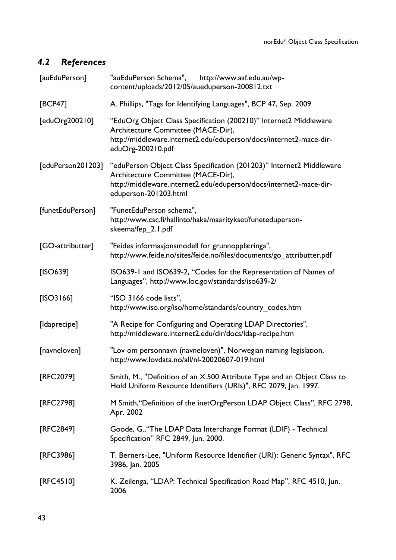# *4.2 References*

| [auEduPerson]     | "auEduPerson Schema",<br>http://www.aaf.edu.au/wp-<br>content/uploads/2012/05/aueduperson-200812.txt                                                                                                      |  |  |  |  |
|-------------------|-----------------------------------------------------------------------------------------------------------------------------------------------------------------------------------------------------------|--|--|--|--|
| <b>[BCP47]</b>    | A. Phillips, "Tags for Identifying Languages", BCP 47, Sep. 2009                                                                                                                                          |  |  |  |  |
| [eduOrg200210]    | "EduOrg Object Class Specification (200210)" Internet2 Middleware<br>Architecture Committee (MACE-Dir),<br>http://middleware.internet2.edu/eduperson/docs/internet2-mace-dir-<br>eduOrg-200210.pdf        |  |  |  |  |
| [eduPerson201203] | "eduPerson Object Class Specification (201203)" Internet2 Middleware<br>Architecture Committee (MACE-Dir),<br>http://middleware.internet2.edu/eduperson/docs/internet2-mace-dir-<br>eduperson-201203.html |  |  |  |  |
| [funetEduPerson]  | "FunetEduPerson schema",<br>http://www.csc.fi/hallinto/haka/maaritykset/funeteduperson-<br>skeema/fep_2.1.pdf                                                                                             |  |  |  |  |
| [GO-attributter]  | "Feides informasjonsmodell for grunnopplæringa",<br>http://www.feide.no/sites/feide.no/files/documents/go_attributter.pdf                                                                                 |  |  |  |  |
| [ISO639]          | ISO639-1 and ISO639-2, "Codes for the Representation of Names of<br>Languages", http://www.loc.gov/standards/iso639-2/                                                                                    |  |  |  |  |
| $[ISO3166]$       | "ISO 3166 code lists",<br>http://www.iso.org/iso/home/standards/country_codes.htm                                                                                                                         |  |  |  |  |
| [Idaprecipe]      | "A Recipe for Configuring and Operating LDAP Directories",<br>http://middleware.internet2.edu/dir/docs/ldap-recipe.htm                                                                                    |  |  |  |  |
| [navneloven]      | "Lov om personnavn (navneloven)", Norwegian naming legislation,<br>http://www.lovdata.no/all/nl-20020607-019.html                                                                                         |  |  |  |  |
| [RFC2079]         | Smith, M., "Definition of an X.500 Attribute Type and an Object Class to<br>Hold Uniform Resource Identifiers (URIs)", RFC 2079, Jan. 1997.                                                               |  |  |  |  |
| [RFC2798]         | M Smith, "Definition of the inetOrgPerson LDAP Object Class", RFC 2798,<br>Apr. 2002                                                                                                                      |  |  |  |  |
| [RFC2849]         | Goode, G., 'The LDAP Data Interchange Format (LDIF) - Technical<br>Specification" RFC 2849, Jun. 2000.                                                                                                    |  |  |  |  |
| [RFC3986]         | T. Berners-Lee, "Uniform Resource Identifier (URI): Generic Syntax", RFC<br>3986, Jan. 2005                                                                                                               |  |  |  |  |
| [RFC4510]         | K. Zeilenga, "LDAP: Technical Specification Road Map", RFC 4510, Jun.<br>2006                                                                                                                             |  |  |  |  |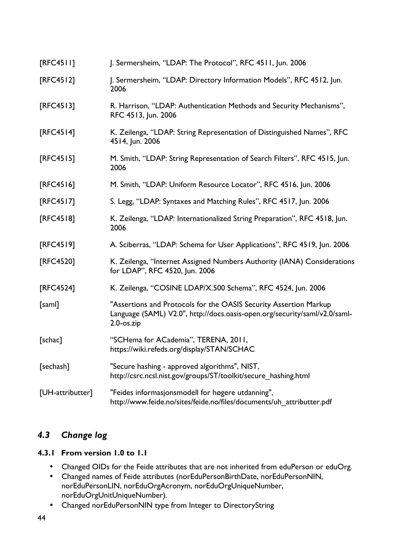| [RFC4511]        | J. Sermersheim, "LDAP: The Protocol", RFC 4511, Jun. 2006                                                                                                           |
|------------------|---------------------------------------------------------------------------------------------------------------------------------------------------------------------|
| [RFC4512]        | J. Sermersheim, "LDAP: Directory Information Models", RFC 4512, Jun.<br>2006                                                                                        |
| $[RFC4513]$      | R. Harrison, "LDAP: Authentication Methods and Security Mechanisms",<br>RFC 4513, Jun. 2006                                                                         |
| [RFC4514]        | K. Zeilenga, "LDAP: String Representation of Distinguished Names", RFC<br>4514, Jun. 2006                                                                           |
| [RFC4515]        | M. Smith, "LDAP: String Representation of Search Filters", RFC 4515, Jun.<br>2006                                                                                   |
| $[RFC4516]$      | M. Smith, "LDAP: Uniform Resource Locator", RFC 4516, Jun. 2006                                                                                                     |
| [RFC4517]        | S. Legg, "LDAP: Syntaxes and Matching Rules", RFC 4517, Jun. 2006                                                                                                   |
| [RFC4518]        | K. Zeilenga, "LDAP: Internationalized String Preparation", RFC 4518, Jun.<br>2006                                                                                   |
| [RFC4519]        | A. Sciberras, "LDAP: Schema for User Applications", RFC 4519, Jun. 2006                                                                                             |
| [RFC4520]        | K. Zeilenga, "Internet Assigned Numbers Authority (IANA) Considerations<br>for LDAP", RFC 4520, Jun. 2006                                                           |
| [RFC4524]        | K. Zeilenga, "COSINE LDAP/X.500 Schema", RFC 4524, Jun. 2006                                                                                                        |
| [saml]           | "Assertions and Protocols for the OASIS Security Assertion Markup<br>Language (SAML) V2.0", http://docs.oasis-open.org/security/saml/v2.0/saml-<br>$2.0$ -os. $zip$ |
| [schac]          | "SCHema for ACademia", TERENA, 2011,<br>https://wiki.refeds.org/display/STAN/SCHAC                                                                                  |
| [sechash]        | "Secure hashing - approved algorithms", NIST,<br>http://csrc.ncsl.nist.gov/groups/ST/toolkit/secure hashing.html                                                    |
| [UH-attributter] | "Feides informasjonsmodell for høgere utdanning",<br>http://www.feide.no/sites/feide.no/files/documents/uh_attributter.pdf                                          |

# *4.3 Change log*

## **4.3.1 From version 1.0 to 1.1**

- Changed OIDs for the Feide attributes that are not inherited from eduPerson or eduOrg.
- Changed names of Feide attributes (norEduPersonBirthDate, norEduPersonNIN, norEduPersonLIN, norEduOrgAcronym, norEduOrgUniqueNumber, norEduOrgUnitUniqueNumber).
- Changed norEduPersonNIN type from Integer to DirectoryString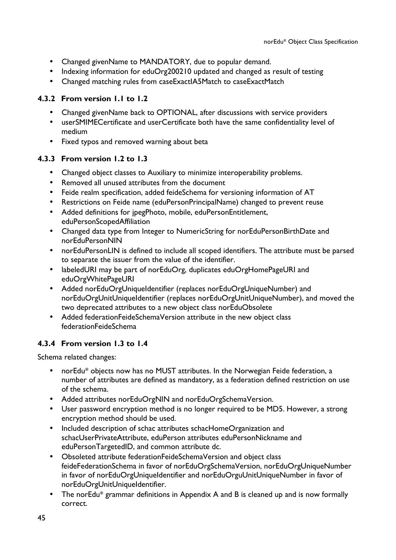- Changed givenName to MANDATORY, due to popular demand.
- Indexing information for eduOrg200210 updated and changed as result of testing
- Changed matching rules from caseExactIA5Match to caseExactMatch

## **4.3.2 From version 1.1 to 1.2**

- Changed givenName back to OPTIONAL, after discussions with service providers
- userSMIMECertificate and userCertificate both have the same confidentiality level of medium
- Fixed typos and removed warning about beta

## **4.3.3 From version 1.2 to 1.3**

- Changed object classes to Auxiliary to minimize interoperability problems.
- Removed all unused attributes from the document
- Feide realm specification, added feideSchema for versioning information of AT
- Restrictions on Feide name (eduPersonPrincipalName) changed to prevent reuse
- Added definitions for jpegPhoto, mobile, eduPersonEntitlement, eduPersonScopedAffiliation
- Changed data type from Integer to NumericString for norEduPersonBirthDate and norEduPersonNIN
- norEduPersonLIN is defined to include all scoped identifiers. The attribute must be parsed to separate the issuer from the value of the identifier.
- labeledURI may be part of norEduOrg, duplicates eduOrgHomePageURI and eduOrgWhitePageURI
- Added norEduOrgUniqueIdentifier (replaces norEduOrgUniqueNumber) and norEduOrgUnitUniqueIdentifier (replaces norEduOrgUnitUniqueNumber), and moved the two deprecated attributes to a new object class norEduObsolete
- Added federationFeideSchemaVersion attribute in the new object class federationFeideSchema

## **4.3.4 From version 1.3 to 1.4**

Schema related changes:

- norEdu\* objects now has no MUST attributes. In the Norwegian Feide federation, a number of attributes are defined as mandatory, as a federation defined restriction on use of the schema.
- Added attributes norEduOrgNIN and norEduOrgSchemaVersion.
- User password encryption method is no longer required to be MD5. However, a strong encryption method should be used.
- Included description of schac attributes schacHomeOrganization and schacUserPrivateAttribute, eduPerson attributes eduPersonNickname and eduPersonTargetedID, and common attribute dc.
- Obsoleted attribute federationFeideSchemaVersion and object class feideFederationSchema in favor of norEduOrgSchemaVersion, norEduOrgUniqueNumber in favor of norEduOrgUniqueIdentifier and norEduOrguUnitUniqueNumber in favor of norEduOrgUnitUniqueIdentifier.
- The norEdu\* grammar definitions in Appendix A and B is cleaned up and is now formally correct.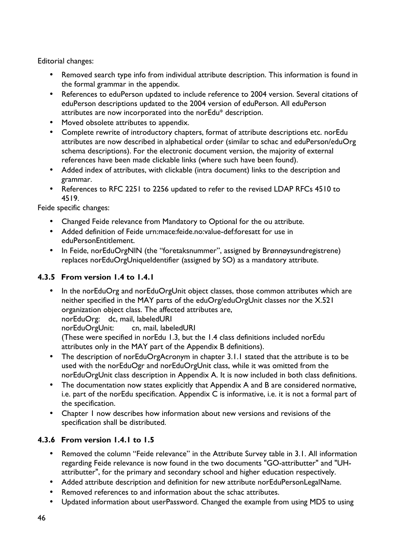Editorial changes:

- Removed search type info from individual attribute description. This information is found in the formal grammar in the appendix.
- References to eduPerson updated to include reference to 2004 version. Several citations of eduPerson descriptions updated to the 2004 version of eduPerson. All eduPerson attributes are now incorporated into the norEdu\* description.
- Moved obsolete attributes to appendix.
- Complete rewrite of introductory chapters, format of attribute descriptions etc. norEdu attributes are now described in alphabetical order (similar to schac and eduPerson/eduOrg schema descriptions). For the electronic document version, the majority of external references have been made clickable links (where such have been found).
- Added index of attributes, with clickable (intra document) links to the description and grammar.
- References to RFC 2251 to 2256 updated to refer to the revised LDAP RFCs 4510 to 4519.

Feide specific changes:

- Changed Feide relevance from Mandatory to Optional for the ou attribute.
- Added definition of Feide urn:mace:feide.no:value-def:foresatt for use in eduPersonEntitlement.
- In Feide, norEduOrgNIN (the "foretaksnummer", assigned by Brønnøysundregistrene) replaces norEduOrgUniqueIdentifier (assigned by SO) as a mandatory attribute.

## **4.3.5 From version 1.4 to 1.4.1**

- In the norEduOrg and norEduOrgUnit object classes, those common attributes which are neither specified in the MAY parts of the eduOrg/eduOrgUnit classes nor the X.521 organization object class. The affected attributes are, norEduOrg: dc, mail, labeledURI norEduOrgUnit: cn, mail, labeledURI (These were specified in norEdu 1.3, but the 1.4 class definitions included norEdu attributes only in the MAY part of the Appendix B definitions).
- The description of norEduOrgAcronym in chapter 3.1.1 stated that the attribute is to be used with the norEduOgr and norEduOrgUnit class, while it was omitted from the norEduOrgUnit class description in Appendix A. It is now included in both class definitions.
- The documentation now states explicitly that Appendix A and B are considered normative, i.e. part of the norEdu specification. Appendix C is informative, i.e. it is not a formal part of the specification.
- Chapter 1 now describes how information about new versions and revisions of the specification shall be distributed.

## **4.3.6 From version 1.4.1 to 1.5**

- Removed the column "Feide relevance" in the Attribute Survey table in 3.1. All information regarding Feide relevance is now found in the two documents "GO-attributter" and "UHattributter", for the primary and secondary school and higher education respectively.
- Added attribute description and definition for new attribute norEduPersonLegalName.
- Removed references to and information about the schac attributes.
- Updated information about userPassword. Changed the example from using MD5 to using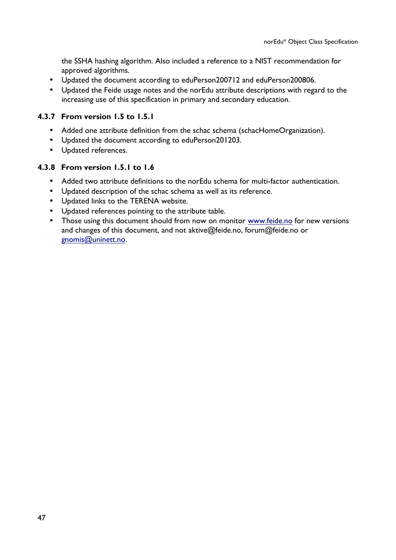the SSHA hashing algorithm. Also included a reference to a NIST recommendation for approved algorithms.

- Updated the document according to eduPerson200712 and eduPerson200806.
- Updated the Feide usage notes and the norEdu attribute descriptions with regard to the increasing use of this specification in primary and secondary education.

## **4.3.7 From version 1.5 to 1.5.1**

- Added one attribute definition from the schac schema (schacHomeOrganization).
- Updated the document according to eduPerson201203.
- Updated references.

## **4.3.8 From version 1.5.1 to 1.6**

- Added two attribute definitions to the norEdu schema for multi-factor authentication.
- Updated description of the schac schema as well as its reference.
- Updated links to the TERENA website.
- Updated references pointing to the attribute table.
- Those using this document should from now on monitor www.feide.no for new versions and changes of this document, and not aktive@feide.no, forum@feide.no or gnomis@uninett.no.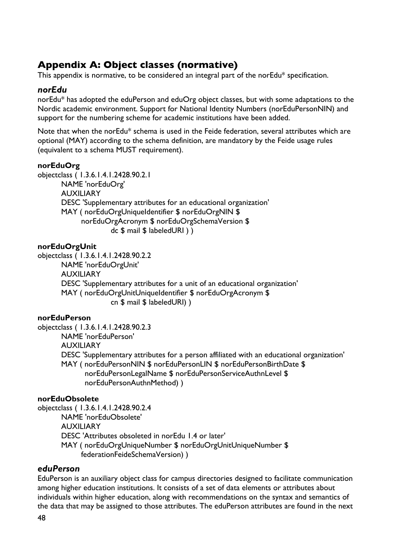# **Appendix A: Object classes (normative)**

This appendix is normative, to be considered an integral part of the norEdu\* specification.

## *norEdu*

norEdu\* has adopted the eduPerson and eduOrg object classes, but with some adaptations to the Nordic academic environment. Support for National Identity Numbers (norEduPersonNIN) and support for the numbering scheme for academic institutions have been added.

Note that when the norEdu\* schema is used in the Feide federation, several attributes which are optional (MAY) according to the schema definition, are mandatory by the Feide usage rules (equivalent to a schema MUST requirement).

#### **norEduOrg**

objectclass ( 1.3.6.1.4.1.2428.90.2.1 NAME 'norEduOrg' AUXILIARY DESC 'Supplementary attributes for an educational organization' MAY ( norEduOrgUniqueIdentifier \$ norEduOrgNIN \$ norEduOrgAcronym \$ norEduOrgSchemaVersion \$ dc \$ mail \$ labeledURI ) )

#### **norEduOrgUnit**

objectclass ( 1.3.6.1.4.1.2428.90.2.2 NAME 'norEduOrgUnit' AUXILIARY DESC 'Supplementary attributes for a unit of an educational organization' MAY ( norEduOrgUnitUniqueIdentifier \$ norEduOrgAcronym \$ cn \$ mail \$ labeledURI) )

#### **norEduPerson**

objectclass ( 1.3.6.1.4.1.2428.90.2.3 NAME 'norEduPerson' AUXILIARY DESC 'Supplementary attributes for a person affiliated with an educational organization' MAY ( norEduPersonNIN \$ norEduPersonLIN \$ norEduPersonBirthDate \$ norEduPersonLegalName \$ norEduPersonServiceAuthnLevel \$ norEduPersonAuthnMethod) )

### **norEduObsolete**

objectclass ( 1.3.6.1.4.1.2428.90.2.4 NAME 'norEduObsolete' AUXILIARY DESC 'Attributes obsoleted in norEdu 1.4 or later' MAY ( norEduOrgUniqueNumber \$ norEduOrgUnitUniqueNumber \$ federationFeideSchemaVersion) )

#### *eduPerson*

EduPerson is an auxiliary object class for campus directories designed to facilitate communication among higher education institutions. It consists of a set of data elements or attributes about individuals within higher education, along with recommendations on the syntax and semantics of the data that may be assigned to those attributes. The eduPerson attributes are found in the next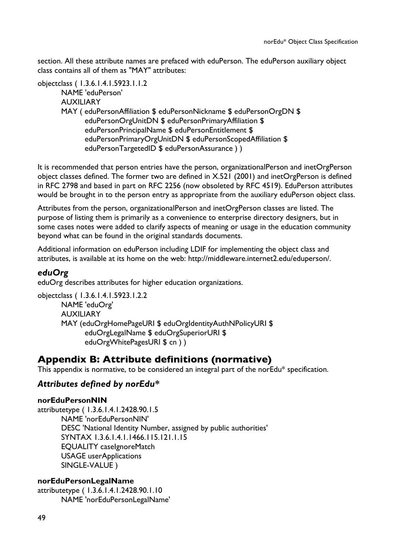section. All these attribute names are prefaced with eduPerson. The eduPerson auxiliary object class contains all of them as "MAY" attributes:

objectclass ( 1.3.6.1.4.1.5923.1.1.2 NAME 'eduPerson'

AUXILIARY

MAY ( eduPersonAffiliation \$ eduPersonNickname \$ eduPersonOrgDN \$ eduPersonOrgUnitDN \$ eduPersonPrimaryAffiliation \$ eduPersonPrincipalName \$ eduPersonEntitlement \$ eduPersonPrimaryOrgUnitDN \$ eduPersonScopedAffiliation \$ eduPersonTargetedID \$ eduPersonAssurance ) )

It is recommended that person entries have the person, organizationalPerson and inetOrgPerson object classes defined. The former two are defined in X.521 (2001) and inetOrgPerson is defined in RFC 2798 and based in part on RFC 2256 (now obsoleted by RFC 4519). EduPerson attributes would be brought in to the person entry as appropriate from the auxiliary eduPerson object class.

Attributes from the person, organizationalPerson and inetOrgPerson classes are listed. The purpose of listing them is primarily as a convenience to enterprise directory designers, but in some cases notes were added to clarify aspects of meaning or usage in the education community beyond what can be found in the original standards documents.

Additional information on eduPerson including LDIF for implementing the object class and attributes, is available at its home on the web: http://middleware.internet2.edu/eduperson/.

# *eduOrg*

eduOrg describes attributes for higher education organizations.

objectclass ( 1.3.6.1.4.1.5923.1.2.2 NAME 'eduOrg' AUXILIARY MAY (eduOrgHomePageURI \$ eduOrgIdentityAuthNPolicyURI \$ eduOrgLegalName \$ eduOrgSuperiorURI \$ eduOrgWhitePagesURI \$ cn))

# **Appendix B: Attribute definitions (normative)**

This appendix is normative, to be considered an integral part of the norEdu\* specification.

# *Attributes defined by norEdu\**

#### **norEduPersonNIN**

attributetype ( 1.3.6.1.4.1.2428.90.1.5 NAME 'norEduPersonNIN' DESC 'National Identity Number, assigned by public authorities' SYNTAX 1.3.6.1.4.1.1466.115.121.1.15 EQUALITY caseIgnoreMatch USAGE userApplications SINGLE-VALUE )

#### **norEduPersonLegalName**

attributetype ( 1.3.6.1.4.1.2428.90.1.10 NAME 'norEduPersonLegalName'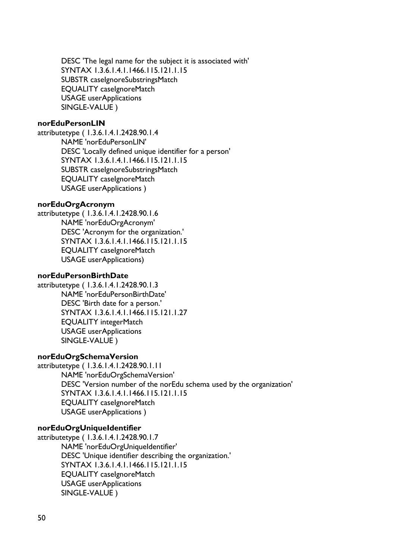DESC 'The legal name for the subject it is associated with' SYNTAX 1.3.6.1.4.1.1466.115.121.1.15 SUBSTR caseIgnoreSubstringsMatch EQUALITY caseIgnoreMatch USAGE userApplications SINGLE-VALUE )

#### **norEduPersonLIN**

attributetype ( 1.3.6.1.4.1.2428.90.1.4 NAME 'norEduPersonLIN' DESC 'Locally defined unique identifier for a person' SYNTAX 1.3.6.1.4.1.1466.115.121.1.15 SUBSTR caseIgnoreSubstringsMatch EQUALITY caseIgnoreMatch USAGE userApplications )

#### **norEduOrgAcronym**

attributetype ( 1.3.6.1.4.1.2428.90.1.6 NAME 'norEduOrgAcronym' DESC 'Acronym for the organization.' SYNTAX 1.3.6.1.4.1.1466.115.121.1.15 EQUALITY caseIgnoreMatch USAGE userApplications)

#### **norEduPersonBirthDate**

attributetype ( 1.3.6.1.4.1.2428.90.1.3 NAME 'norEduPersonBirthDate' DESC 'Birth date for a person.' SYNTAX 1.3.6.1.4.1.1466.115.121.1.27 EQUALITY integerMatch USAGE userApplications SINGLE-VALUE )

#### **norEduOrgSchemaVersion**

attributetype ( 1.3.6.1.4.1.2428.90.1.11 NAME 'norEduOrgSchemaVersion' DESC 'Version number of the norEdu schema used by the organization' SYNTAX 1.3.6.1.4.1.1466.115.121.1.15 EQUALITY caseIgnoreMatch USAGE userApplications )

#### **norEduOrgUniqueIdentifier**

attributetype ( 1.3.6.1.4.1.2428.90.1.7 NAME 'norEduOrgUniqueIdentifier' DESC 'Unique identifier describing the organization.' SYNTAX 1.3.6.1.4.1.1466.115.121.1.15 EQUALITY caseIgnoreMatch USAGE userApplications SINGLE-VALUE )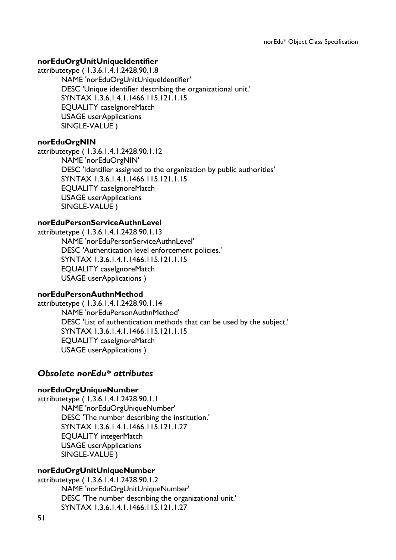#### **norEduOrgUnitUniqueIdentifier**

attributetype ( 1.3.6.1.4.1.2428.90.1.8

NAME 'norEduOrgUnitUniqueIdentifier' DESC 'Unique identifier describing the organizational unit.' SYNTAX 1.3.6.1.4.1.1466.115.121.1.15 EQUALITY caseIgnoreMatch USAGE userApplications SINGLE-VALUE )

#### **norEduOrgNIN**

attributetype ( 1.3.6.1.4.1.2428.90.1.12 NAME 'norEduOrgNIN' DESC 'Identifier assigned to the organization by public authorities' SYNTAX 1.3.6.1.4.1.1466.115.121.1.15 EQUALITY caseIgnoreMatch USAGE userApplications SINGLE-VALUE )

#### **norEduPersonServiceAuthnLevel**

attributetype ( 1.3.6.1.4.1.2428.90.1.13 NAME 'norEduPersonServiceAuthnLevel' DESC 'Authentication level enforcement policies.' SYNTAX 1.3.6.1.4.1.1466.115.121.1.15 EQUALITY caseIgnoreMatch USAGE userApplications )

#### **norEduPersonAuthnMethod**

attributetype ( 1.3.6.1.4.1.2428.90.1.14 NAME 'norEduPersonAuthnMethod' DESC 'List of authentication methods that can be used by the subject.' SYNTAX 1.3.6.1.4.1.1466.115.121.1.15 EQUALITY caseIgnoreMatch USAGE userApplications )

#### *Obsolete norEdu\* attributes*

#### **norEduOrgUniqueNumber**

attributetype ( 1.3.6.1.4.1.2428.90.1.1 NAME 'norEduOrgUniqueNumber' DESC 'The number describing the institution.' SYNTAX 1.3.6.1.4.1.1466.115.121.1.27 EQUALITY integerMatch USAGE userApplications SINGLE-VALUE )

#### **norEduOrgUnitUniqueNumber**

attributetype ( 1.3.6.1.4.1.2428.90.1.2 NAME 'norEduOrgUnitUniqueNumber' DESC 'The number describing the organizational unit.' SYNTAX 1.3.6.1.4.1.1466.115.121.1.27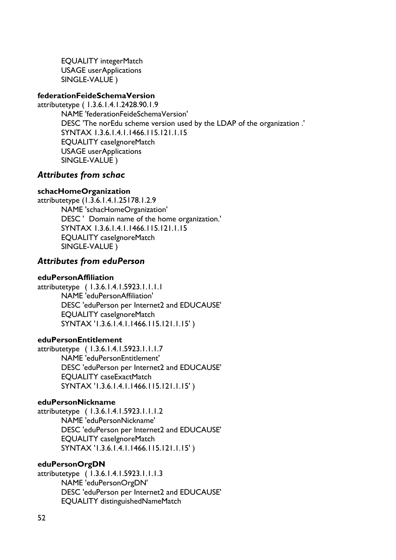EQUALITY integerMatch USAGE userApplications SINGLE-VALUE )

#### **federationFeideSchemaVersion**

attributetype ( 1.3.6.1.4.1.2428.90.1.9 NAME 'federationFeideSchemaVersion' DESC 'The norEdu scheme version used by the LDAP of the organization .' SYNTAX 1.3.6.1.4.1.1466.115.121.1.15 EQUALITY caseIgnoreMatch USAGE userApplications SINGLE-VALUE )

## *Attributes from schac*

## **schacHomeOrganization**

attributetype (1.3.6.1.4.1.25178.1.2.9 NAME 'schacHomeOrganization' DESC ' Domain name of the home organization.' SYNTAX 1.3.6.1.4.1.1466.115.121.1.15 EQUALITY caseIgnoreMatch SINGLE-VALUE )

## *Attributes from eduPerson*

#### **eduPersonAffiliation**

attributetype ( 1.3.6.1.4.1.5923.1.1.1.1 NAME 'eduPersonAffiliation' DESC 'eduPerson per Internet2 and EDUCAUSE' EQUALITY caseIgnoreMatch SYNTAX '1.3.6.1.4.1.1466.115.121.1.15' )

#### **eduPersonEntitlement**

attributetype ( 1.3.6.1.4.1.5923.1.1.1.7 NAME 'eduPersonEntitlement' DESC 'eduPerson per Internet2 and EDUCAUSE' EQUALITY caseExactMatch SYNTAX '1.3.6.1.4.1.1466.115.121.1.15' )

#### **eduPersonNickname**

attributetype ( 1.3.6.1.4.1.5923.1.1.1.2 NAME 'eduPersonNickname' DESC 'eduPerson per Internet2 and EDUCAUSE' EQUALITY caseIgnoreMatch SYNTAX '1.3.6.1.4.1.1466.115.121.1.15' )

#### **eduPersonOrgDN**

attributetype ( 1.3.6.1.4.1.5923.1.1.1.3 NAME 'eduPersonOrgDN' DESC 'eduPerson per Internet2 and EDUCAUSE' EQUALITY distinguishedNameMatch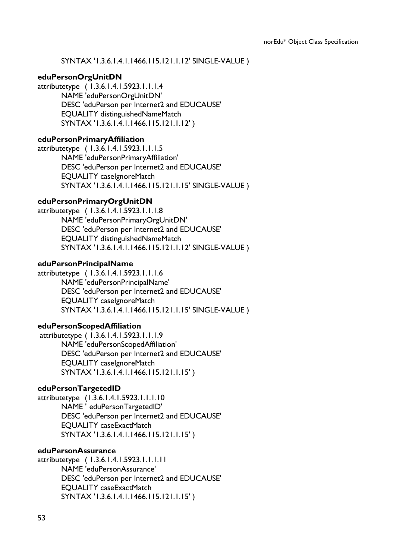SYNTAX '1.3.6.1.4.1.1466.115.121.1.12' SINGLE-VALUE )

#### **eduPersonOrgUnitDN**

attributetype ( 1.3.6.1.4.1.5923.1.1.1.4 NAME 'eduPersonOrgUnitDN' DESC 'eduPerson per Internet2 and EDUCAUSE' EQUALITY distinguishedNameMatch SYNTAX '1.3.6.1.4.1.1466.115.121.1.12' )

#### **eduPersonPrimaryAffiliation**

attributetype ( 1.3.6.1.4.1.5923.1.1.1.5 NAME 'eduPersonPrimaryAffiliation' DESC 'eduPerson per Internet2 and EDUCAUSE' EQUALITY caseIgnoreMatch SYNTAX '1.3.6.1.4.1.1466.115.121.1.15' SINGLE-VALUE )

#### **eduPersonPrimaryOrgUnitDN**

attributetype ( 1.3.6.1.4.1.5923.1.1.1.8 NAME 'eduPersonPrimaryOrgUnitDN' DESC 'eduPerson per Internet2 and EDUCAUSE' EQUALITY distinguishedNameMatch SYNTAX '1.3.6.1.4.1.1466.115.121.1.12' SINGLE-VALUE )

#### **eduPersonPrincipalName**

attributetype ( 1.3.6.1.4.1.5923.1.1.1.6 NAME 'eduPersonPrincipalName' DESC 'eduPerson per Internet2 and EDUCAUSE' EQUALITY caseIgnoreMatch SYNTAX '1.3.6.1.4.1.1466.115.121.1.15' SINGLE-VALUE )

#### **eduPersonScopedAffiliation**

attributetype ( 1.3.6.1.4.1.5923.1.1.1.9 NAME 'eduPersonScopedAffiliation' DESC 'eduPerson per Internet2 and EDUCAUSE' EQUALITY caseIgnoreMatch SYNTAX '1.3.6.1.4.1.1466.115.121.1.15' )

#### **eduPersonTargetedID**

attributetype (1.3.6.1.4.1.5923.1.1.1.10 NAME ' eduPersonTargetedID' DESC 'eduPerson per Internet2 and EDUCAUSE' EQUALITY caseExactMatch SYNTAX '1.3.6.1.4.1.1466.115.121.1.15' )

#### **eduPersonAssurance**

attributetype ( 1.3.6.1.4.1.5923.1.1.1.11 NAME 'eduPersonAssurance' DESC 'eduPerson per Internet2 and EDUCAUSE' EQUALITY caseExactMatch SYNTAX '1.3.6.1.4.1.1466.115.121.1.15' )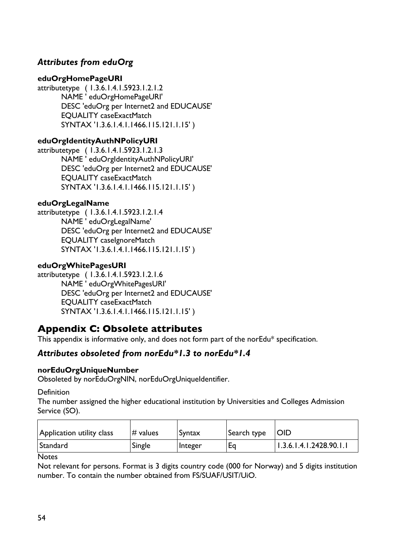# *Attributes from eduOrg*

## **eduOrgHomePageURI**

attributetype ( 1.3.6.1.4.1.5923.1.2.1.2 NAME ' eduOrgHomePageURI' DESC 'eduOrg per Internet2 and EDUCAUSE' EQUALITY caseExactMatch SYNTAX '1.3.6.1.4.1.1466.115.121.1.15' )

## **eduOrgIdentityAuthNPolicyURI**

attributetype ( 1.3.6.1.4.1.5923.1.2.1.3 NAME ' eduOrgIdentityAuthNPolicyURI' DESC 'eduOrg per Internet2 and EDUCAUSE' EQUALITY caseExactMatch SYNTAX '1.3.6.1.4.1.1466.115.121.1.15' )

## **eduOrgLegalName**

attributetype ( 1.3.6.1.4.1.5923.1.2.1.4 NAME ' eduOrgLegalName' DESC 'eduOrg per Internet2 and EDUCAUSE' EQUALITY caseIgnoreMatch SYNTAX '1.3.6.1.4.1.1466.115.121.1.15' )

#### **eduOrgWhitePagesURI**

attributetype ( 1.3.6.1.4.1.5923.1.2.1.6 NAME ' eduOrgWhitePagesURI' DESC 'eduOrg per Internet2 and EDUCAUSE' EQUALITY caseExactMatch SYNTAX '1.3.6.1.4.1.1466.115.121.1.15' )

# **Appendix C: Obsolete attributes**

This appendix is informative only, and does not form part of the norEdu\* specification.

# *Attributes obsoleted from norEdu\*1.3 to norEdu\*1.4*

## **norEduOrgUniqueNumber**

Obsoleted by norEduOrgNIN, norEduOrgUniqueIdentifier.

**Definition** 

The number assigned the higher educational institution by Universities and Colleges Admission Service (SO).

| Application utility class | $#$ values | Syntax         | Search type | <b>OID</b>              |
|---------------------------|------------|----------------|-------------|-------------------------|
| Standard                  | Single     | <b>Integer</b> | Eq          | 1.3.6.1.4.1.2428.90.1.1 |

#### **Notes**

Not relevant for persons. Format is 3 digits country code (000 for Norway) and 5 digits institution number. To contain the number obtained from FS/SUAF/USIT/UiO.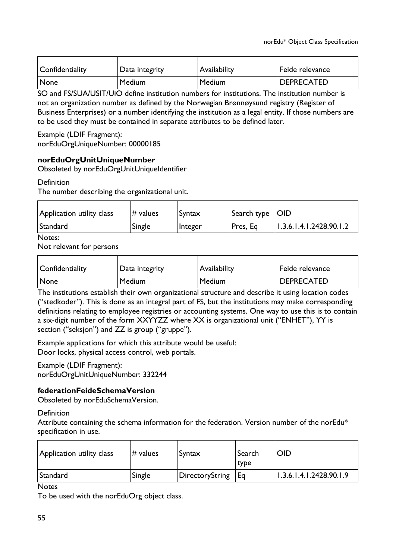| Confidentiality | Data integrity | Availability | Feide relevance   |
|-----------------|----------------|--------------|-------------------|
| None            | Medium         | Medium       | <b>DEPRECATED</b> |

SO and FS/SUA/USIT/UiO define institution numbers for institutions. The institution number is not an organization number as defined by the Norwegian Brønnøysund registry (Register of Business Enterprises) or a number identifying the institution as a legal entity. If those numbers are to be used they must be contained in separate attributes to be defined later.

Example (LDIF Fragment): norEduOrgUniqueNumber: 00000185

## **norEduOrgUnitUniqueNumber**

Obsoleted by norEduOrgUnitUniqueIdentifier

Definition

The number describing the organizational unit.

| Application utility class | $\#$ values | Syntax  | Search type $ OID $ |                                     |
|---------------------------|-------------|---------|---------------------|-------------------------------------|
| Standard                  | Single      | Integer | Pres, Eq            | $\parallel$ 1.3.6.1.4.1.2428.90.1.2 |

Notes:

Not relevant for persons

| Confidentiality | Data integrity | Availability | Feide relevance   |
|-----------------|----------------|--------------|-------------------|
| None            | Medium         | Medium       | <b>DEPRECATED</b> |

The institutions establish their own organizational structure and describe it using location codes ("stedkoder"). This is done as an integral part of FS, but the institutions may make corresponding definitions relating to employee registries or accounting systems. One way to use this is to contain a six-digit number of the form XXYYZZ where XX is organizational unit ("ENHET"), YY is section ("seksjon") and ZZ is group ("gruppe").

Example applications for which this attribute would be useful: Door locks, physical access control, web portals.

Example (LDIF Fragment): norEduOrgUnitUniqueNumber: 332244

#### **federationFeideSchemaVersion**

Obsoleted by norEduSchemaVersion.

Definition

Attribute containing the schema information for the federation. Version number of the norEdu\* specification in use.

| Application utility class | $#$ values | Syntax          | ' Search<br>type | <b>OID</b>              |
|---------------------------|------------|-----------------|------------------|-------------------------|
| Standard                  | Single     | DirectoryString | l Ea             | 1.3.6.1.4.1.2428.90.1.9 |

**Notes** 

To be used with the norEduOrg object class.